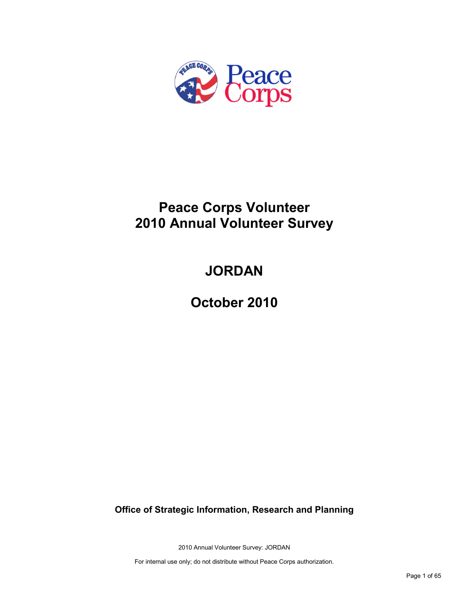

## **Peace Corps Volunteer 2010 Annual Volunteer Survey**

# **JORDAN**

**October 2010**

**Office of Strategic Information, Research and Planning**

2010 Annual Volunteer Survey: JORDAN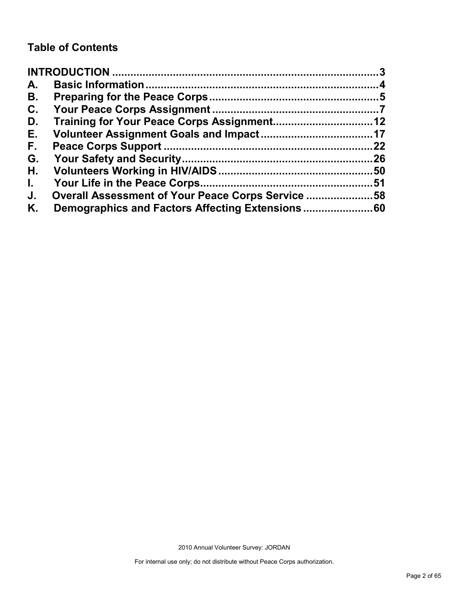## **Table of Contents**

| A.           |                                                   |    |
|--------------|---------------------------------------------------|----|
| В.           |                                                   |    |
| C.           |                                                   |    |
| D.           |                                                   |    |
| Е.           |                                                   |    |
| F.,          |                                                   | 22 |
| G.           |                                                   |    |
| Η.           |                                                   |    |
| $\mathbf{L}$ |                                                   |    |
| J.           | Overall Assessment of Your Peace Corps Service 58 |    |
| Κ.           |                                                   |    |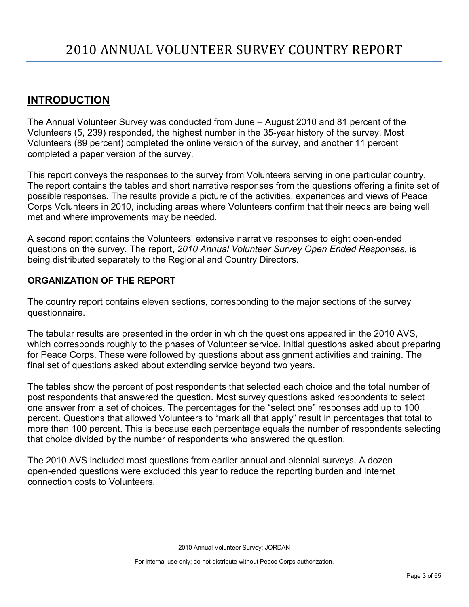## <span id="page-2-0"></span>**INTRODUCTION**

The Annual Volunteer Survey was conducted from June – August 2010 and 81 percent of the Volunteers (5, 239) responded, the highest number in the 35-year history of the survey. Most Volunteers (89 percent) completed the online version of the survey, and another 11 percent completed a paper version of the survey.

This report conveys the responses to the survey from Volunteers serving in one particular country. The report contains the tables and short narrative responses from the questions offering a finite set of possible responses. The results provide a picture of the activities, experiences and views of Peace Corps Volunteers in 2010, including areas where Volunteers confirm that their needs are being well met and where improvements may be needed.

A second report contains the Volunteers' extensive narrative responses to eight open-ended questions on the survey. The report, *2010 Annual Volunteer Survey Open Ended Responses,* is being distributed separately to the Regional and Country Directors.

## **ORGANIZATION OF THE REPORT**

The country report contains eleven sections, corresponding to the major sections of the survey questionnaire.

The tabular results are presented in the order in which the questions appeared in the 2010 AVS, which corresponds roughly to the phases of Volunteer service. Initial questions asked about preparing for Peace Corps. These were followed by questions about assignment activities and training. The final set of questions asked about extending service beyond two years.

The tables show the percent of post respondents that selected each choice and the total number of post respondents that answered the question. Most survey questions asked respondents to select one answer from a set of choices. The percentages for the "select one" responses add up to 100 percent. Questions that allowed Volunteers to "mark all that apply" result in percentages that total to more than 100 percent. This is because each percentage equals the number of respondents selecting that choice divided by the number of respondents who answered the question.

The 2010 AVS included most questions from earlier annual and biennial surveys. A dozen open-ended questions were excluded this year to reduce the reporting burden and internet connection costs to Volunteers.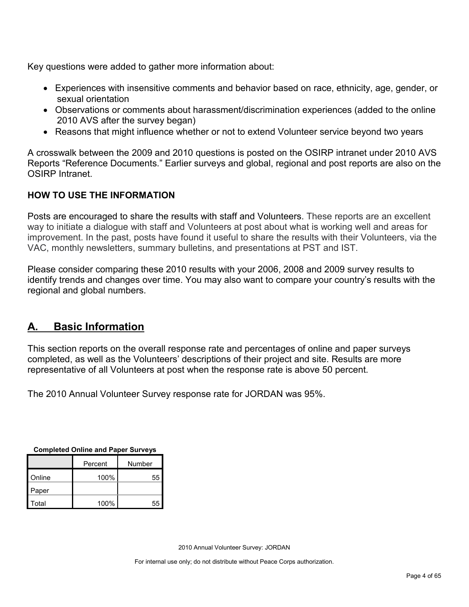Key questions were added to gather more information about:

- Experiences with insensitive comments and behavior based on race, ethnicity, age, gender, or sexual orientation
- Observations or comments about harassment/discrimination experiences (added to the online 2010 AVS after the survey began)
- Reasons that might influence whether or not to extend Volunteer service beyond two years

A crosswalk between the 2009 and 2010 questions is posted on the OSIRP intranet under 2010 AVS Reports "Reference Documents." Earlier surveys and global, regional and post reports are also on the OSIRP Intranet.

## **HOW TO USE THE INFORMATION**

Posts are encouraged to share the results with staff and Volunteers. These reports are an excellent way to initiate a dialogue with staff and Volunteers at post about what is working well and areas for improvement. In the past, posts have found it useful to share the results with their Volunteers, via the VAC, monthly newsletters, summary bulletins, and presentations at PST and IST.

Please consider comparing these 2010 results with your 2006, 2008 and 2009 survey results to identify trends and changes over time. You may also want to compare your country's results with the regional and global numbers.

## <span id="page-3-0"></span>**A. Basic Information**

This section reports on the overall response rate and percentages of online and paper surveys completed, as well as the Volunteers' descriptions of their project and site. Results are more representative of all Volunteers at post when the response rate is above 50 percent.

The 2010 Annual Volunteer Survey response rate for JORDAN was 95%.

| <b>Completed Online and Paper Surveys</b> |  |  |  |
|-------------------------------------------|--|--|--|
|                                           |  |  |  |
|                                           |  |  |  |

|        | Percent | Number |
|--------|---------|--------|
| Online | 100%    | 55     |
| Paper  |         |        |
| Total  | 100%    | 55     |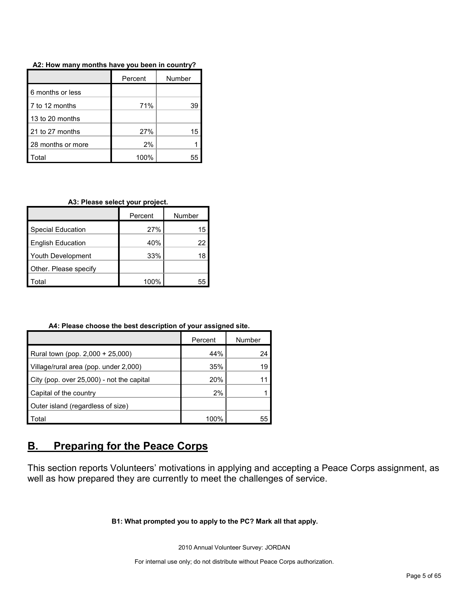|                   | Percent | Number |
|-------------------|---------|--------|
| 6 months or less  |         |        |
| 7 to 12 months    | 71%     | 39     |
| 13 to 20 months   |         |        |
| 21 to 27 months   | 27%     | 15     |
| 28 months or more | 2%      |        |
| Γotal             | 100%    |        |

**A2: How many months have you been in country?**

#### **A3: Please select your project.**

|                          | Percent | Number |
|--------------------------|---------|--------|
| <b>Special Education</b> | 27%     | 15     |
| <b>English Education</b> | 40%     | 22     |
| Youth Development        | 33%     | 18     |
| Other. Please specify    |         |        |
| ∩tal                     | 100%    |        |

**A4: Please choose the best description of your assigned site.**

|                                           | Percent | Number |
|-------------------------------------------|---------|--------|
| Rural town (pop. 2,000 + 25,000)          | 44%     | 24     |
| Village/rural area (pop. under 2,000)     | 35%     | 19     |
| City (pop. over 25,000) - not the capital | 20%     |        |
| Capital of the country                    | 2%      |        |
| Outer island (regardless of size)         |         |        |
| Total                                     | 100%    | 55     |

## <span id="page-4-0"></span>**B. Preparing for the Peace Corps**

This section reports Volunteers' motivations in applying and accepting a Peace Corps assignment, as well as how prepared they are currently to meet the challenges of service.

**B1: What prompted you to apply to the PC? Mark all that apply.**

2010 Annual Volunteer Survey: JORDAN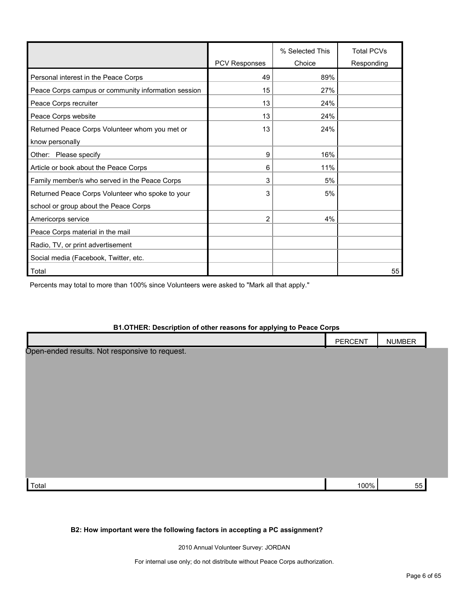|                                                     |                      | % Selected This | <b>Total PCVs</b> |
|-----------------------------------------------------|----------------------|-----------------|-------------------|
|                                                     | <b>PCV Responses</b> | Choice          | Responding        |
| Personal interest in the Peace Corps                | 49                   | 89%             |                   |
| Peace Corps campus or community information session | 15                   | 27%             |                   |
| Peace Corps recruiter                               | 13                   | 24%             |                   |
| Peace Corps website                                 | 13                   | 24%             |                   |
| Returned Peace Corps Volunteer whom you met or      | 13                   | 24%             |                   |
| know personally                                     |                      |                 |                   |
| Other: Please specify                               | 9                    | 16%             |                   |
| Article or book about the Peace Corps               | 6                    | 11%             |                   |
| Family member/s who served in the Peace Corps       | 3                    | 5%              |                   |
| Returned Peace Corps Volunteer who spoke to your    | 3                    | 5%              |                   |
| school or group about the Peace Corps               |                      |                 |                   |
| Americorps service                                  | 2                    | 4%              |                   |
| Peace Corps material in the mail                    |                      |                 |                   |
| Radio, TV, or print advertisement                   |                      |                 |                   |
| Social media (Facebook, Twitter, etc.               |                      |                 |                   |
| Total                                               |                      |                 | 55                |

Percents may total to more than 100% since Volunteers were asked to "Mark all that apply."

#### **B1.OTHER: Description of other reasons for applying to Peace Corps**

|                                                | PERCENT | <b>NUMBER</b> |  |
|------------------------------------------------|---------|---------------|--|
| Open-ended results. Not responsive to request. |         |               |  |
|                                                |         |               |  |
|                                                |         |               |  |
|                                                |         |               |  |
|                                                |         |               |  |
|                                                |         |               |  |
|                                                |         |               |  |
|                                                |         |               |  |
|                                                |         |               |  |
| Total                                          | 100%    | 55            |  |

#### **B2: How important were the following factors in accepting a PC assignment?**

2010 Annual Volunteer Survey: JORDAN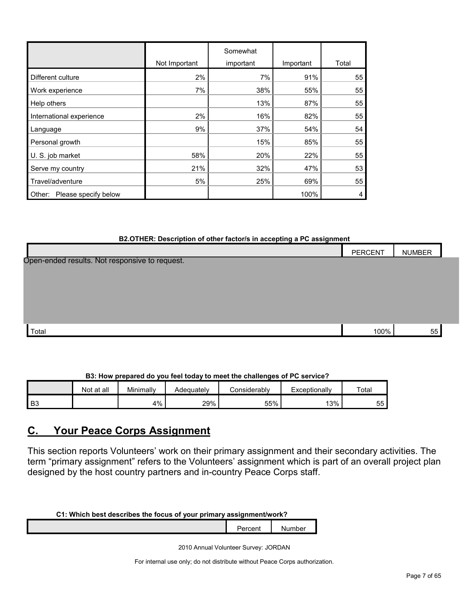|                                |               | Somewhat  |           |       |
|--------------------------------|---------------|-----------|-----------|-------|
|                                | Not Important | important | Important | Total |
| Different culture              | 2%            | 7%        | 91%       | 55    |
| Work experience                | 7%            | 38%       | 55%       | 55    |
| Help others                    |               | 13%       | 87%       | 55    |
| International experience       | 2%            | 16%       | 82%       | 55    |
| Language                       | 9%            | 37%       | 54%       | 54    |
| Personal growth                |               | 15%       | 85%       | 55    |
| U. S. job market               | 58%           | 20%       | 22%       | 55    |
| Serve my country               | 21%           | 32%       | 47%       | 53    |
| Travel/adventure               | 5%            | 25%       | 69%       | 55    |
| Please specify below<br>Other: |               |           | 100%      | 4     |

#### **B2.OTHER: Description of other factor/s in accepting a PC assignment**

|                                                | <b>PERCENT</b> | <b>NUMBER</b> |  |
|------------------------------------------------|----------------|---------------|--|
| Open-ended results. Not responsive to request. |                |               |  |
|                                                |                |               |  |
|                                                |                |               |  |
|                                                |                |               |  |
|                                                |                |               |  |
| Total                                          | 100%           | 55            |  |

## **B3: How prepared do you feel today to meet the challenges of PC service?**

|      | Not at all | Minimally | Adequately | Considerabl∨ | Exceptionally | Total    |
|------|------------|-----------|------------|--------------|---------------|----------|
| l B3 |            | 4%        | 29%        | 55%          | 13%           | --<br>55 |

## <span id="page-6-0"></span>**C. Your Peace Corps Assignment**

This section reports Volunteers' work on their primary assignment and their secondary activities. The term "primary assignment" refers to the Volunteers' assignment which is part of an overall project plan designed by the host country partners and in-country Peace Corps staff.

## **C1: Which best describes the focus of your primary assignment/work?**

Percent Number

2010 Annual Volunteer Survey: JORDAN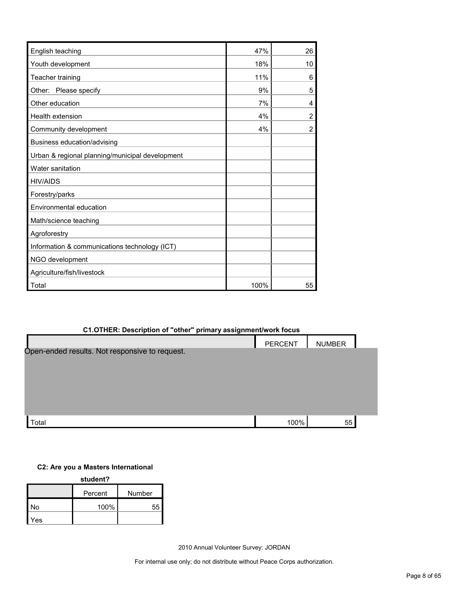| English teaching                                | 47%  | 26             |
|-------------------------------------------------|------|----------------|
| Youth development                               | 18%  | 10             |
| Teacher training                                | 11%  | 6              |
| Other: Please specify                           | 9%   | 5              |
| Other education                                 | 7%   | 4              |
| <b>Health extension</b>                         | 4%   | $\overline{2}$ |
| Community development                           | 4%   | $\overline{2}$ |
| Business education/advising                     |      |                |
| Urban & regional planning/municipal development |      |                |
| Water sanitation                                |      |                |
| <b>HIV/AIDS</b>                                 |      |                |
| Forestry/parks                                  |      |                |
| Environmental education                         |      |                |
| Math/science teaching                           |      |                |
| Agroforestry                                    |      |                |
| Information & communications technology (ICT)   |      |                |
| NGO development                                 |      |                |
| Agriculture/fish/livestock                      |      |                |
| Total                                           | 100% | 55             |

## **C1.OTHER: Description of "other" primary assignment/work focus**

|                                                | PERCENT | <b>NUMBER</b> |  |
|------------------------------------------------|---------|---------------|--|
| Open-ended results. Not responsive to request. |         |               |  |
|                                                |         |               |  |
|                                                |         |               |  |
|                                                |         |               |  |
|                                                |         |               |  |
| Total                                          | 100%    | 55            |  |

## **C2: Are you a Masters International**

**student?**

|     | Percent | Number |
|-----|---------|--------|
| No  | 100%    |        |
| Yes |         |        |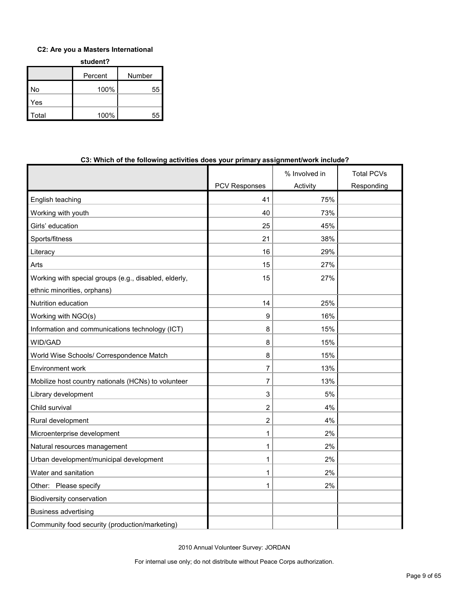## **C2: Are you a Masters International**

| student? |         |        |  |  |
|----------|---------|--------|--|--|
|          | Percent | Number |  |  |
| No       | 100%    | 55     |  |  |
| Yes      |         |        |  |  |
| Total    | 100%    | 55     |  |  |

| C3: Which of the following activities does your primary assignment/work include? |                      |               |                   |
|----------------------------------------------------------------------------------|----------------------|---------------|-------------------|
|                                                                                  |                      | % Involved in | <b>Total PCVs</b> |
|                                                                                  | <b>PCV Responses</b> | Activity      | Responding        |
| English teaching                                                                 | 41                   | 75%           |                   |
| Working with youth                                                               | 40                   | 73%           |                   |
| Girls' education                                                                 | 25                   | 45%           |                   |
| Sports/fitness                                                                   | 21                   | 38%           |                   |
| Literacy                                                                         | 16                   | 29%           |                   |
| Arts                                                                             | 15                   | 27%           |                   |
| Working with special groups (e.g., disabled, elderly,                            | 15                   | 27%           |                   |
| ethnic minorities, orphans)                                                      |                      |               |                   |
| Nutrition education                                                              | 14                   | 25%           |                   |
| Working with NGO(s)                                                              | 9                    | 16%           |                   |
| Information and communications technology (ICT)                                  | 8                    | 15%           |                   |
| WID/GAD                                                                          | 8                    | 15%           |                   |
| World Wise Schools/ Correspondence Match                                         | 8                    | 15%           |                   |
| Environment work                                                                 | 7                    | 13%           |                   |
| Mobilize host country nationals (HCNs) to volunteer                              | 7                    | 13%           |                   |
| Library development                                                              | 3                    | 5%            |                   |
| Child survival                                                                   | $\overline{2}$       | 4%            |                   |
| Rural development                                                                | $\overline{2}$       | 4%            |                   |
| Microenterprise development                                                      | 1                    | 2%            |                   |
| Natural resources management                                                     | 1                    | 2%            |                   |
| Urban development/municipal development                                          | 1                    | 2%            |                   |
| Water and sanitation                                                             | 1                    | 2%            |                   |
| Other: Please specify                                                            | 1                    | 2%            |                   |
| <b>Biodiversity conservation</b>                                                 |                      |               |                   |
| <b>Business advertising</b>                                                      |                      |               |                   |
| Community food security (production/marketing)                                   |                      |               |                   |

#### **C3: Which of the following activities does your primary assignment/work include?**

2010 Annual Volunteer Survey: JORDAN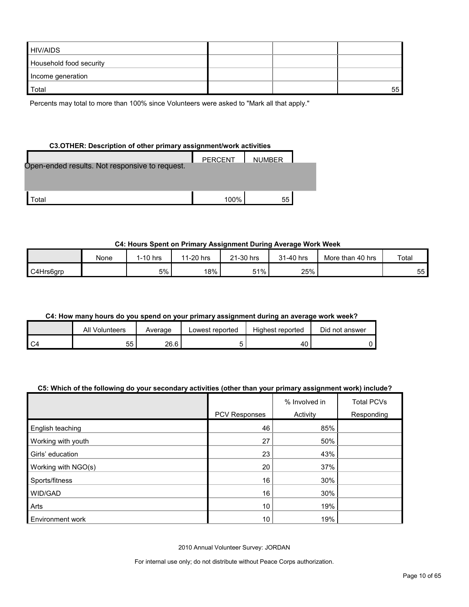| <b>HIV/AIDS</b>         |  |    |
|-------------------------|--|----|
| Household food security |  |    |
| Income generation       |  |    |
| Total                   |  | 55 |

Percents may total to more than 100% since Volunteers were asked to "Mark all that apply."

## **C3.OTHER: Description of other primary assignment/work activities**

|                                                | PERCENT | <b>NUMBER</b> |  |
|------------------------------------------------|---------|---------------|--|
| Open-ended results. Not responsive to request. |         |               |  |
|                                                |         |               |  |
|                                                |         |               |  |
| <sup>-</sup> otal                              | 100%    | 55            |  |

## **C4: Hours Spent on Primary Assignment During Average Work Week**

|           | None | 1-10 hrs | 1-20 hrs<br>44 | 21-30 hrs | 31-40 hrs | More than 40 hrs | Total      |
|-----------|------|----------|----------------|-----------|-----------|------------------|------------|
| C4Hrs6arp |      | 5%       | 18%            | 51%       | 25%       |                  | $ -$<br>55 |

## **C4: How many hours do you spend on your primary assignment during an average work week?**

|      | All<br>Volunteers | Average | Lowest reported | Highest reported | Did not answer |
|------|-------------------|---------|-----------------|------------------|----------------|
| I C4 | 55                | 26.6    |                 | $\sim$<br>40     |                |

## **C5: Which of the following do your secondary activities (other than your primary assignment work) include?**

|                         |                      | % Involved in | <b>Total PCVs</b> |
|-------------------------|----------------------|---------------|-------------------|
|                         | <b>PCV Responses</b> | Activity      | Responding        |
| English teaching        | 46                   | 85%           |                   |
| Working with youth      | 27                   | 50%           |                   |
| Girls' education        | 23                   | 43%           |                   |
| Working with NGO(s)     | 20                   | 37%           |                   |
| Sports/fitness          | 16                   | 30%           |                   |
| WID/GAD                 | 16                   | 30%           |                   |
| Arts                    | 10                   | 19%           |                   |
| <b>Environment work</b> | 10                   | 19%           |                   |

2010 Annual Volunteer Survey: JORDAN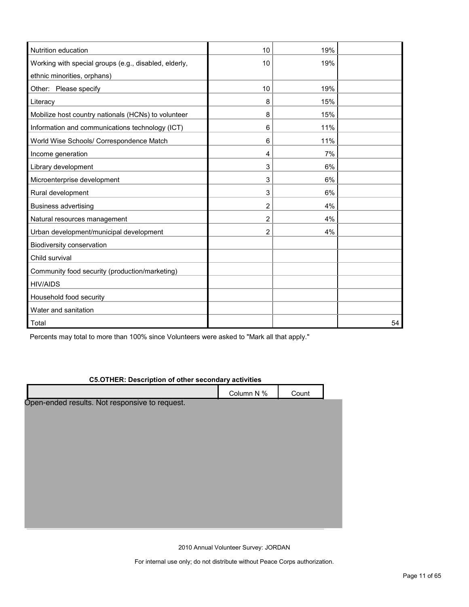| Nutrition education                                   | 10             | 19% |    |
|-------------------------------------------------------|----------------|-----|----|
| Working with special groups (e.g., disabled, elderly, | 10             | 19% |    |
| ethnic minorities, orphans)                           |                |     |    |
| Other: Please specify                                 | 10             | 19% |    |
| Literacy                                              | 8              | 15% |    |
| Mobilize host country nationals (HCNs) to volunteer   | 8              | 15% |    |
| Information and communications technology (ICT)       | 6              | 11% |    |
| World Wise Schools/ Correspondence Match              | 6              | 11% |    |
| Income generation                                     | 4              | 7%  |    |
| Library development                                   | 3              | 6%  |    |
| Microenterprise development                           | 3              | 6%  |    |
| Rural development                                     | 3              | 6%  |    |
| <b>Business advertising</b>                           | 2              | 4%  |    |
| Natural resources management                          | $\overline{2}$ | 4%  |    |
| Urban development/municipal development               | 2              | 4%  |    |
| Biodiversity conservation                             |                |     |    |
| Child survival                                        |                |     |    |
| Community food security (production/marketing)        |                |     |    |
| <b>HIV/AIDS</b>                                       |                |     |    |
| Household food security                               |                |     |    |
| Water and sanitation                                  |                |     |    |
| Total                                                 |                |     | 54 |

Percents may total to more than 100% since Volunteers were asked to "Mark all that apply."

### **C5.OTHER: Description of other secondary activities**

Column N % Count Open-ended results. Not responsive to request.

2010 Annual Volunteer Survey: JORDAN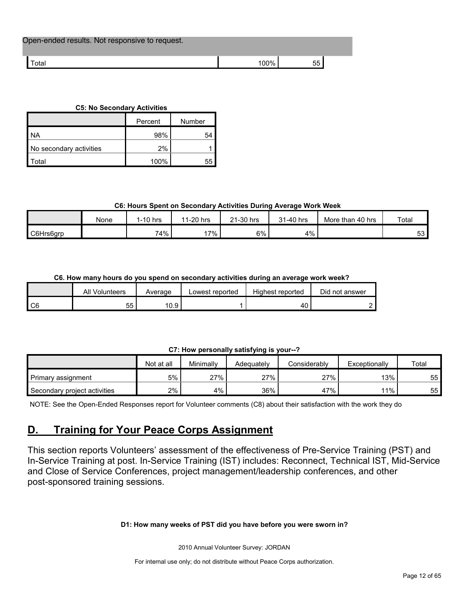| Open-ended results. Not responsive to request. |       |    |  |
|------------------------------------------------|-------|----|--|
| Total                                          | ' በበ% | 55 |  |

#### **C5: No Secondary Activities**

|                         | Percent | Number |
|-------------------------|---------|--------|
| I NA                    | 98%     | 54     |
| No secondary activities | 2%      |        |
| l Total                 | 100%    |        |

## **C6: Hours Spent on Secondary Activities During Average Work Week**

|           | None | 1-10 hrs | $1-20$ hrs<br>44 | 21-30 hrs | 31-40 hrs<br><b>O</b> 4 | More than 40 hrs | Total     |
|-----------|------|----------|------------------|-----------|-------------------------|------------------|-----------|
| C6Hrs6grp |      | 74%      | $7\%$            | $6\%$     | 4%                      |                  | rn.<br>აა |

## **C6. How many hours do you spend on secondary activities during an average work week?**

|    | All Volunteers | Average | Lowest reported | Highest reported | Did not answer |
|----|----------------|---------|-----------------|------------------|----------------|
| C6 | ບບ             | 10.9    |                 |                  |                |

## **C7: How personally satisfying is your--?**

|                              | Not at all | Minimallv | Adeauatelv | Considerably | Exceptionally | Total |
|------------------------------|------------|-----------|------------|--------------|---------------|-------|
| Primary assignment           | 5%         | 27%       | 27%        | 27%          | 13%           | 55    |
| Secondary project activities | 2%         | 4%        | 36%        | 47%          | 11%           | 55    |

NOTE: See the Open-Ended Responses report for Volunteer comments (C8) about their satisfaction with the work they do

## <span id="page-11-0"></span>**D. Training for Your Peace Corps Assignment**

This section reports Volunteers' assessment of the effectiveness of Pre-Service Training (PST) and In-Service Training at post. In-Service Training (IST) includes: Reconnect, Technical IST, Mid-Service and Close of Service Conferences, project management/leadership conferences, and other post-sponsored training sessions.

## **D1: How many weeks of PST did you have before you were sworn in?**

2010 Annual Volunteer Survey: JORDAN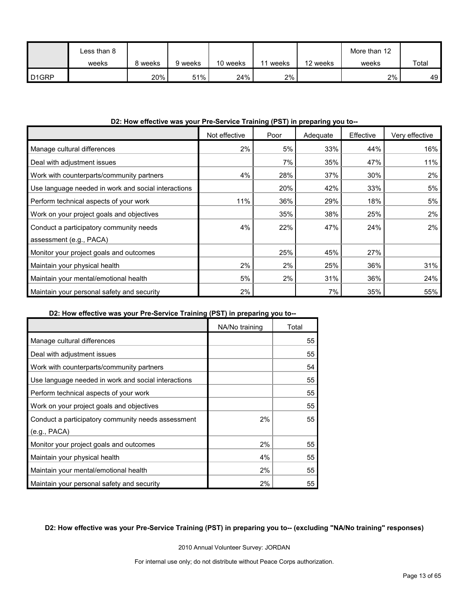|                   | Less than 8 |       |         |          |       |          | More than 12 |       |
|-------------------|-------------|-------|---------|----------|-------|----------|--------------|-------|
|                   | weeks       | weeks | 9 weeks | 10 weeks | weeks | 12 weeks | weeks        | Total |
| D <sub>1GRP</sub> |             | 20%   | 51%     | 24%      | 2%    |          | 2%           | 49    |

## **D2: How effective was your Pre-Service Training (PST) in preparing you to--**

|                                                     | Not effective | Poor | Adequate | Effective | Very effective |
|-----------------------------------------------------|---------------|------|----------|-----------|----------------|
| Manage cultural differences                         | 2%            | 5%   | 33%      | 44%       | 16%            |
| Deal with adjustment issues                         |               | 7%   | 35%      | 47%       | 11%            |
| Work with counterparts/community partners           | 4%            | 28%  | 37%      | 30%       | 2%             |
| Use language needed in work and social interactions |               | 20%  | 42%      | 33%       | 5%             |
| Perform technical aspects of your work              | 11%           | 36%  | 29%      | 18%       | 5%             |
| Work on your project goals and objectives           |               | 35%  | 38%      | 25%       | 2%             |
| Conduct a participatory community needs             | 4%            | 22%  | 47%      | 24%       | $2\%$          |
| assessment (e.g., PACA)                             |               |      |          |           |                |
| Monitor your project goals and outcomes             |               | 25%  | 45%      | 27%       |                |
| Maintain your physical health                       | 2%            | 2%   | 25%      | 36%       | 31%            |
| Maintain your mental/emotional health               | 5%            | 2%   | 31%      | 36%       | 24%            |
| Maintain your personal safety and security          | 2%            |      | 7%       | 35%       | 55%            |

### **D2: How effective was your Pre-Service Training (PST) in preparing you to--**

|                                                     | NA/No training | Total |
|-----------------------------------------------------|----------------|-------|
| Manage cultural differences                         |                | 55    |
| Deal with adjustment issues                         |                | 55    |
| Work with counterparts/community partners           |                | 54    |
| Use language needed in work and social interactions |                | 55    |
| Perform technical aspects of your work              |                | 55    |
| Work on your project goals and objectives           |                | 55    |
| Conduct a participatory community needs assessment  | 2%             | 55    |
| (e.g., PACA)                                        |                |       |
| Monitor your project goals and outcomes             | 2%             | 55    |
| Maintain your physical health                       | 4%             | 55    |
| Maintain your mental/emotional health               | 2%             | 55    |
| Maintain your personal safety and security          | 2%             | 55    |

## **D2: How effective was your Pre-Service Training (PST) in preparing you to-- (excluding "NA/No training" responses)**

2010 Annual Volunteer Survey: JORDAN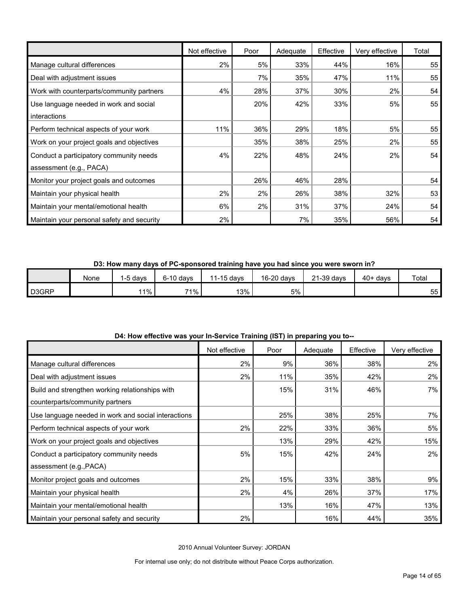|                                            | Not effective | Poor | Adequate | Effective | Very effective | Total |
|--------------------------------------------|---------------|------|----------|-----------|----------------|-------|
| Manage cultural differences                | 2%            | 5%   | 33%      | 44%       | 16%            | 55    |
| Deal with adjustment issues                |               | 7%   | 35%      | 47%       | 11%            | 55    |
| Work with counterparts/community partners  | 4%            | 28%  | 37%      | 30%       | 2%             | 54    |
| Use language needed in work and social     |               | 20%  | 42%      | 33%       | 5%             | 55    |
| interactions                               |               |      |          |           |                |       |
| Perform technical aspects of your work     | 11%           | 36%  | 29%      | 18%       | 5%             | 55    |
| Work on your project goals and objectives  |               | 35%  | 38%      | 25%       | 2%             | 55    |
| Conduct a participatory community needs    | 4%            | 22%  | 48%      | 24%       | 2%             | 54    |
| assessment (e.g., PACA)                    |               |      |          |           |                |       |
| Monitor your project goals and outcomes    |               | 26%  | 46%      | 28%       |                | 54    |
| Maintain your physical health              | 2%            | 2%   | 26%      | 38%       | 32%            | 53    |
| Maintain your mental/emotional health      | 6%            | 2%   | 31%      | 37%       | 24%            | 54    |
| Maintain your personal safety and security | $2\%$         |      | 7%       | 35%       | 56%            | 54    |

**D3: How many days of PC-sponsored training have you had since you were sworn in?**

|       | None | -5 days | $6-10$ davs | $1-15$ days | 16-20 days | 21-39 days | $40+$ days | Total |
|-------|------|---------|-------------|-------------|------------|------------|------------|-------|
| D3GRP |      | $1\%$   | 71%         | 13%         | 5%         |            |            | 55    |

|                                                     | Not effective | Poor | ິ<br>Adequate | Effective | Very effective |
|-----------------------------------------------------|---------------|------|---------------|-----------|----------------|
| Manage cultural differences                         | 2%            | 9%   | 36%           | 38%       | 2%             |
| Deal with adjustment issues                         | 2%            | 11%  | 35%           | 42%       | 2%             |
| Build and strengthen working relationships with     |               | 15%  | 31%           | 46%       | 7%             |
| counterparts/community partners                     |               |      |               |           |                |
| Use language needed in work and social interactions |               | 25%  | 38%           | 25%       | 7%             |
| Perform technical aspects of your work              | 2%            | 22%  | 33%           | 36%       | 5%             |
| Work on your project goals and objectives           |               | 13%  | 29%           | 42%       | 15%            |
| Conduct a participatory community needs             | 5%            | 15%  | 42%           | 24%       | 2%             |
| assessment (e.g., PACA)                             |               |      |               |           |                |
| Monitor project goals and outcomes                  | 2%            | 15%  | 33%           | 38%       | 9%             |
| Maintain your physical health                       | 2%            | 4%   | 26%           | 37%       | 17%            |
| Maintain your mental/emotional health               |               | 13%  | 16%           | 47%       | 13%            |
| Maintain your personal safety and security          | 2%            |      | 16%           | 44%       | 35%            |

**D4: How effective was your In-Service Training (IST) in preparing you to--**

2010 Annual Volunteer Survey: JORDAN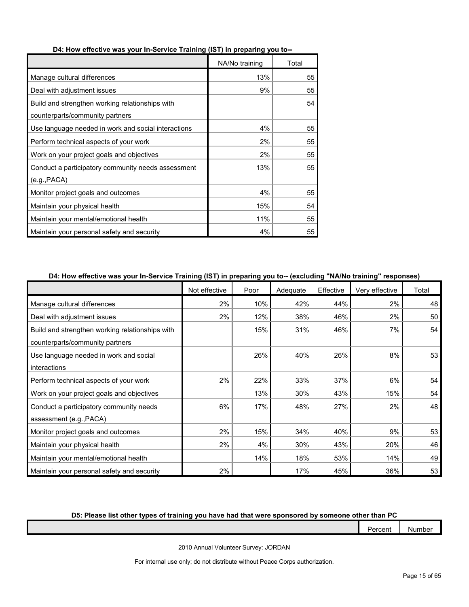|                                                     | NA/No training | Total |
|-----------------------------------------------------|----------------|-------|
| Manage cultural differences                         | 13%            | 55    |
| Deal with adjustment issues                         | 9%             | 55    |
| Build and strengthen working relationships with     |                | 54    |
| counterparts/community partners                     |                |       |
| Use language needed in work and social interactions | 4%             | 55    |
| Perform technical aspects of your work              | 2%             | 55    |
| Work on your project goals and objectives           | 2%             | 55    |
| Conduct a participatory community needs assessment  | 13%            | 55    |
| (e.g., PACA)                                        |                |       |
| Monitor project goals and outcomes                  | 4%             | 55    |
| Maintain your physical health                       | 15%            | 54    |
| Maintain your mental/emotional health               | 11%            | 55    |
| Maintain your personal safety and security          | 4%             | 55    |

#### **D4: How effective was your In-Service Training (IST) in preparing you to--**

## **D4: How effective was your In-Service Training (IST) in preparing you to-- (excluding "NA/No training" responses)**

|                                                 | Not effective | Poor | Adequate | Effective | Very effective | Total |
|-------------------------------------------------|---------------|------|----------|-----------|----------------|-------|
| Manage cultural differences                     | 2%            | 10%  | 42%      | 44%       | 2%             | 48    |
| Deal with adjustment issues                     | 2%            | 12%  | 38%      | 46%       | 2%             | 50    |
| Build and strengthen working relationships with |               | 15%  | 31%      | 46%       | 7%             | 54    |
| counterparts/community partners                 |               |      |          |           |                |       |
| Use language needed in work and social          |               | 26%  | 40%      | 26%       | 8%             | 53    |
| interactions                                    |               |      |          |           |                |       |
| Perform technical aspects of your work          | 2%            | 22%  | 33%      | 37%       | 6%             | 54    |
| Work on your project goals and objectives       |               | 13%  | 30%      | 43%       | 15%            | 54    |
| Conduct a participatory community needs         | 6%            | 17%  | 48%      | 27%       | 2%             | 48    |
| assessment (e.g., PACA)                         |               |      |          |           |                |       |
| Monitor project goals and outcomes              | 2%            | 15%  | 34%      | 40%       | 9%             | 53    |
| Maintain your physical health                   | 2%            | 4%   | 30%      | 43%       | 20%            | 46    |
| Maintain your mental/emotional health           |               | 14%  | 18%      | 53%       | 14%            | 49    |
| Maintain your personal safety and security      | 2%            |      | 17%      | 45%       | 36%            | 53    |

## **D5: Please list other types of training you have had that were sponsored by someone other than PC**

| Percent | Number |
|---------|--------|
|         |        |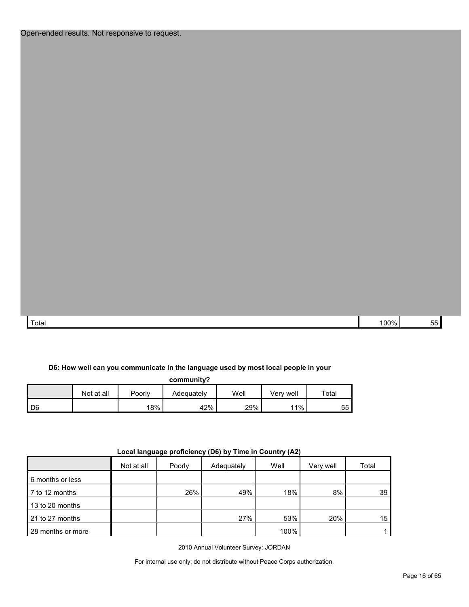| Total | 100% | the contract of the contract of<br>$ -$<br>ັບ |
|-------|------|-----------------------------------------------|

#### **D6: How well can you communicate in the language used by most local people in your**

**community?**

|      | Not at all | Poorly | Adequatelv | Well | Verv well | Total |
|------|------------|--------|------------|------|-----------|-------|
| I D6 |            | 18%    | 42%        | 29%  | $1\%$     | 55    |

| .<br>----- <i>1</i> -- <i>1</i> |            |        |            |      |           |       |  |
|---------------------------------|------------|--------|------------|------|-----------|-------|--|
|                                 | Not at all | Poorly | Adequately | Well | Very well | Total |  |
| 6 months or less                |            |        |            |      |           |       |  |
| 7 to 12 months                  |            | 26%    | 49%        | 18%  | 8%        | 39    |  |
| 13 to 20 months                 |            |        |            |      |           |       |  |
| 21 to 27 months                 |            |        | 27%        | 53%  | 20%       | 15    |  |
| 28 months or more               |            |        |            | 100% |           |       |  |

**Local language proficiency (D6) by Time in Country (A2)**

2010 Annual Volunteer Survey: JORDAN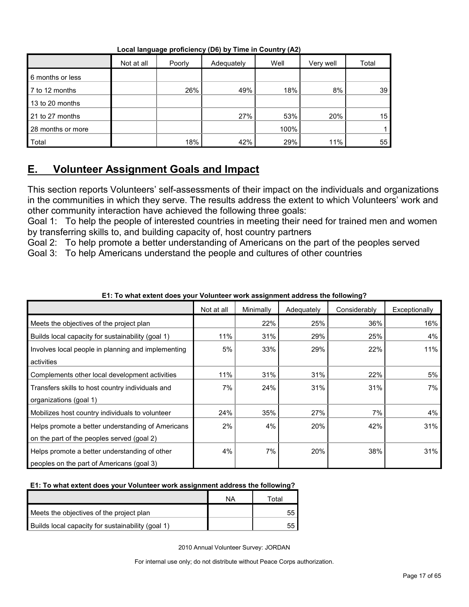|                   | Not at all | $\sim$ $\sim$ $\sim$<br>Poorly | Adequately | Well | Very well | Total |
|-------------------|------------|--------------------------------|------------|------|-----------|-------|
| 6 months or less  |            |                                |            |      |           |       |
| 7 to 12 months    |            | 26%                            | 49%        | 18%  | 8%        | 39    |
| 13 to 20 months   |            |                                |            |      |           |       |
| 21 to 27 months   |            |                                | 27%        | 53%  | 20%       | 15    |
| 28 months or more |            |                                |            | 100% |           |       |
| Total             |            | 18%                            | 42%        | 29%  | 11%       | 55    |

**Local language proficiency (D6) by Time in Country (A2)**

## <span id="page-16-0"></span>**E. Volunteer Assignment Goals and Impact**

This section reports Volunteers' self-assessments of their impact on the individuals and organizations in the communities in which they serve. The results address the extent to which Volunteers' work and other community interaction have achieved the following three goals:

Goal 1: To help the people of interested countries in meeting their need for trained men and women by transferring skills to, and building capacity of, host country partners

Goal 2: To help promote a better understanding of Americans on the part of the peoples served Goal 3: To help Americans understand the people and cultures of other countries

|                                                    | Not at all | Minimally | Adequately | Considerably | Exceptionally |
|----------------------------------------------------|------------|-----------|------------|--------------|---------------|
| Meets the objectives of the project plan           |            | 22%       | 25%        | 36%          | 16%           |
| Builds local capacity for sustainability (goal 1)  | 11%        | 31%       | 29%        | 25%          | 4%            |
| Involves local people in planning and implementing | 5%         | 33%       | 29%        | 22%          | 11%           |
| activities                                         |            |           |            |              |               |
| Complements other local development activities     | 11%        | 31%       | 31%        | 22%          | 5%            |
| Transfers skills to host country individuals and   | 7%         | 24%       | 31%        | 31%          | 7%            |
| organizations (goal 1)                             |            |           |            |              |               |
| Mobilizes host country individuals to volunteer    | 24%        | 35%       | 27%        | 7%           | 4%            |
| Helps promote a better understanding of Americans  | 2%         | 4%        | 20%        | 42%          | 31%           |
| on the part of the peoples served (goal 2)         |            |           |            |              |               |
| Helps promote a better understanding of other      | 4%         | 7%        | 20%        | 38%          | 31%           |
| peoples on the part of Americans (goal 3)          |            |           |            |              |               |

**E1: To what extent does your Volunteer work assignment address the following?**

## **E1: To what extent does your Volunteer work assignment address the following?**

|                                                   | ΝA | ™otal |
|---------------------------------------------------|----|-------|
| Meets the objectives of the project plan          |    | 55    |
| Builds local capacity for sustainability (goal 1) |    | 55    |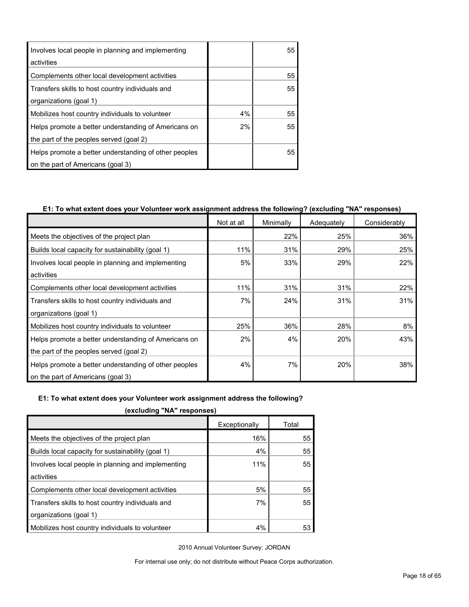| Involves local people in planning and implementing<br>activities           |    | 55 |
|----------------------------------------------------------------------------|----|----|
| Complements other local development activities                             |    | 55 |
| Transfers skills to host country individuals and<br>organizations (goal 1) |    | 55 |
| Mobilizes host country individuals to volunteer                            | 4% | 55 |
| Helps promote a better understanding of Americans on                       | 2% | 55 |
| the part of the peoples served (goal 2)                                    |    |    |
| Helps promote a better understanding of other peoples                      |    | 55 |
| on the part of Americans (goal 3)                                          |    |    |

## **E1: To what extent does your Volunteer work assignment address the following? (excluding "NA" responses)**

|                                                       | Not at all | Minimally | Adequately | Considerably |
|-------------------------------------------------------|------------|-----------|------------|--------------|
| Meets the objectives of the project plan              |            | 22%       | 25%        | 36%          |
| Builds local capacity for sustainability (goal 1)     | 11%        | 31%       | 29%        | 25%          |
| Involves local people in planning and implementing    | 5%         | 33%       | 29%        | 22%          |
| activities                                            |            |           |            |              |
| Complements other local development activities        | 11%        | 31%       | 31%        | 22%          |
| Transfers skills to host country individuals and      | 7%         | 24%       | 31%        | 31%          |
| organizations (goal 1)                                |            |           |            |              |
| Mobilizes host country individuals to volunteer       | 25%        | 36%       | 28%        | 8%           |
| Helps promote a better understanding of Americans on  | 2%         | 4%        | 20%        | 43%          |
| the part of the peoples served (goal 2)               |            |           |            |              |
| Helps promote a better understanding of other peoples | 4%         | 7%        | 20%        | 38%          |
| on the part of Americans (goal 3)                     |            |           |            |              |

#### **E1: To what extent does your Volunteer work assignment address the following?**

**(excluding "NA" responses)**

| Exceptionally | Total |
|---------------|-------|
| 16%           | 55    |
| 4%            | 55    |
| 11%           | 55    |
|               |       |
| 5%            | 55    |
| 7%            | 55    |
|               |       |
| 4%            | 53    |
|               |       |

2010 Annual Volunteer Survey: JORDAN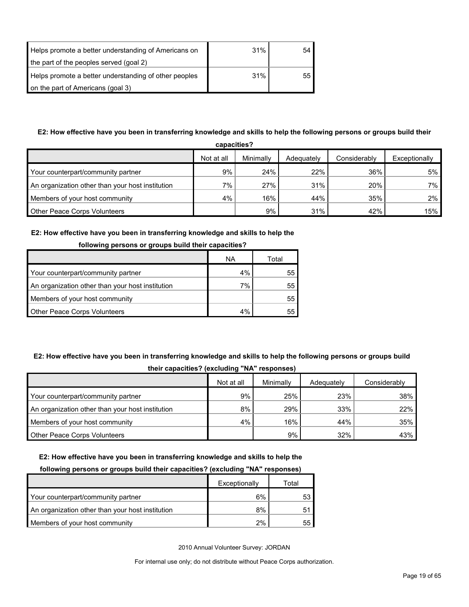| Helps promote a better understanding of Americans on  | 31% | 54 |
|-------------------------------------------------------|-----|----|
| the part of the peoples served (goal 2)               |     |    |
| Helps promote a better understanding of other peoples | 31% | 55 |
| on the part of Americans (goal 3)                     |     |    |

## **E2: How effective have you been in transferring knowledge and skills to help the following persons or groups build their**

| capacities?                                      |            |           |            |              |               |
|--------------------------------------------------|------------|-----------|------------|--------------|---------------|
|                                                  | Not at all | Minimally | Adequately | Considerably | Exceptionally |
| Your counterpart/community partner               | 9%         | 24%       | 22%        | 36%          | 5%            |
| An organization other than your host institution | $7\%$      | 27%       | 31%        | 20%          | $7\%$         |
| Members of your host community                   | 4%         | 16%       | 44%        | 35%          | 2%            |
| <b>Other Peace Corps Volunteers</b>              |            | $9\%$     | 31%        | 42%          | 15%           |

### **E2: How effective have you been in transferring knowledge and skills to help the**

| <b>TOROWING DETSURE OF GLOUPS DUNG THEIR CAPACITIES I</b> |           |       |  |  |
|-----------------------------------------------------------|-----------|-------|--|--|
|                                                           | <b>NA</b> | Total |  |  |
| Your counterpart/community partner                        | 4%        | 55    |  |  |
| An organization other than your host institution          | 7%        | 55    |  |  |
| Members of your host community                            |           | 55    |  |  |
| <b>Other Peace Corps Volunteers</b>                       | 4%        |       |  |  |

## **following persons or groups build their capacities?**

## **E2: How effective have you been in transferring knowledge and skills to help the following persons or groups build their capacities? (excluding "NA" responses)**

|                                                  | -          |           |            |              |
|--------------------------------------------------|------------|-----------|------------|--------------|
|                                                  | Not at all | Minimally | Adequately | Considerably |
| Your counterpart/community partner               | 9%         | 25%       | 23%        | 38%          |
| An organization other than your host institution | 8%         | 29%       | 33%        | 22%          |
| Members of your host community                   | 4%         | 16%       | 44%        | 35%          |
| <b>Other Peace Corps Volunteers</b>              |            | 9%        | 32%        | 43%          |

#### **E2: How effective have you been in transferring knowledge and skills to help the**

#### **following persons or groups build their capacities? (excluding "NA" responses)**

|                                                  | Exceptionally | Total |
|--------------------------------------------------|---------------|-------|
| Your counterpart/community partner               | 6%            |       |
| An organization other than your host institution | 8%            | 51    |
| Members of your host community                   | 2%            |       |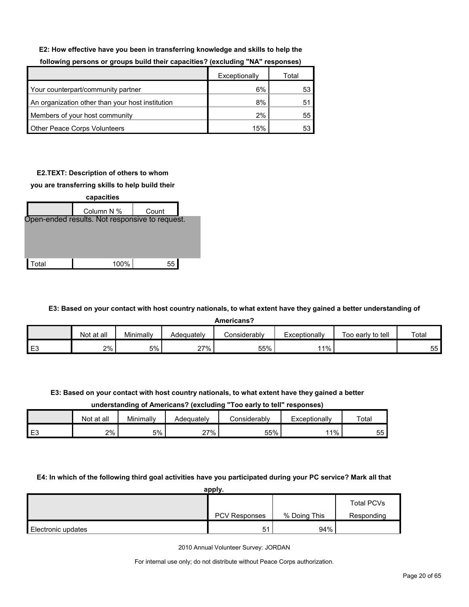#### **E2: How effective have you been in transferring knowledge and skills to help the**

|                                                  | Exceptionally | Total |
|--------------------------------------------------|---------------|-------|
| Your counterpart/community partner               | 6%            | 53    |
| An organization other than your host institution | 8%            | 51    |
| Members of your host community                   | 2%            | 55    |
| <b>Other Peace Corps Volunteers</b>              | 15%           | 53    |

#### **following persons or groups build their capacities? (excluding "NA" responses)**

### **E2.TEXT: Description of others to whom**

#### **you are transferring skills to help build their**

| capacities |                                                |       |  |  |  |  |
|------------|------------------------------------------------|-------|--|--|--|--|
|            | Column N %                                     | Count |  |  |  |  |
|            | Open-ended results. Not responsive to request. |       |  |  |  |  |
|            |                                                |       |  |  |  |  |
|            |                                                |       |  |  |  |  |
|            |                                                |       |  |  |  |  |
| otal.      | 100%                                           | 55    |  |  |  |  |

**E3: Based on your contact with host country nationals, to what extent have they gained a better understanding of** 

**Americans?**

|                | Not at all | Minimally | Adequatelv    | <i>C</i> onsiderabl∨ | Exceptionally | Too early to tell | Total       |
|----------------|------------|-----------|---------------|----------------------|---------------|-------------------|-------------|
| E <sub>3</sub> | 2%         | 5%        | $27\%$<br>2 I | 55%                  | $1\%$         |                   | $- -$<br>55 |

**E3: Based on your contact with host country nationals, to what extent have they gained a better** 

#### **understanding of Americans? (excluding "Too early to tell" responses)**

|            | Not at all | Minimally | Adequately | Considerably | xceptionally | Total          |
|------------|------------|-----------|------------|--------------|--------------|----------------|
| - ⊏?<br>∟J | 2%         | 5%        | 27%        | 55%          | $1\%$        | --<br>わわ<br>ັບ |

#### **E4: In which of the following third goal activities have you participated during your PC service? Mark all that**

|                    | apply.        |              |                   |
|--------------------|---------------|--------------|-------------------|
|                    |               |              | <b>Total PCVs</b> |
|                    | PCV Responses | % Doing This | Responding        |
| Electronic updates | 51            | 94%          |                   |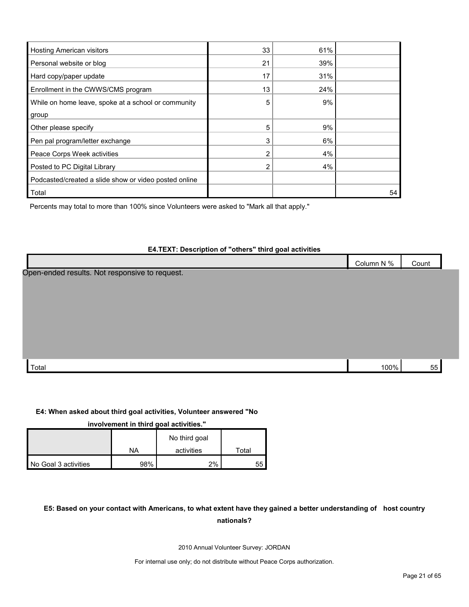| <b>Hosting American visitors</b>                      | 33             | 61% |    |
|-------------------------------------------------------|----------------|-----|----|
| Personal website or blog                              | 21             | 39% |    |
| Hard copy/paper update                                | 17             | 31% |    |
| Enrollment in the CWWS/CMS program                    | 13             | 24% |    |
| While on home leave, spoke at a school or community   | 5              | 9%  |    |
| group                                                 |                |     |    |
| Other please specify                                  | 5              | 9%  |    |
| Pen pal program/letter exchange                       | 3              | 6%  |    |
| Peace Corps Week activities                           | 2              | 4%  |    |
| Posted to PC Digital Library                          | $\overline{2}$ | 4%  |    |
| Podcasted/created a slide show or video posted online |                |     |    |
| Total                                                 |                |     | 54 |

Percents may total to more than 100% since Volunteers were asked to "Mark all that apply."

#### **E4.TEXT: Description of "others" third goal activities**

|                                                                   | $N\%$<br>Column | Count |
|-------------------------------------------------------------------|-----------------|-------|
| Onen-ended<br>roculte<br><b>racnonciva</b><br>. to reguest<br>Not |                 |       |

Open-ended results. Not responsive to request.

| $\Omega$<br>Total |  |  |
|-------------------|--|--|
|                   |  |  |

#### **E4: When asked about third goal activities, Volunteer answered "No**

#### **involvement in third goal activities."**

|                      |     | No third goal |       |
|----------------------|-----|---------------|-------|
|                      | NA  | activities    | ⊤ota⊩ |
| No Goal 3 activities | 98% | 2%            | 55    |

## **E5: Based on your contact with Americans, to what extent have they gained a better understanding of host country nationals?**

2010 Annual Volunteer Survey: JORDAN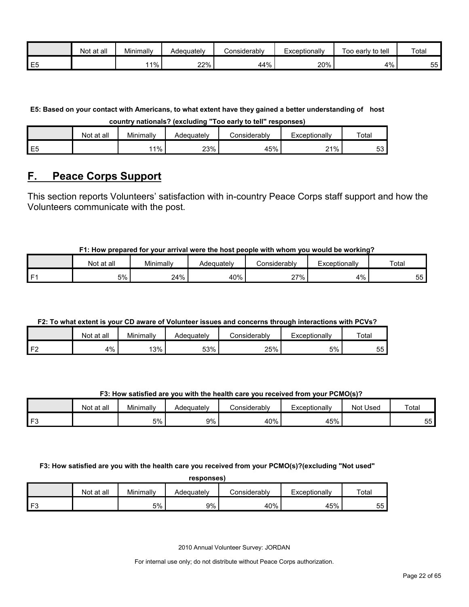|    | Not at all | Minimally | Adequately | Considerabl∨ | Exceptionally | to tell<br>Гоо<br>, earlv | Total |
|----|------------|-----------|------------|--------------|---------------|---------------------------|-------|
| E5 |            | 11%       | 22%        | 44%          | 20%           | 4%                        | 55    |

**E5: Based on your contact with Americans, to what extent have they gained a better understanding of host country nationals? (excluding "Too early to tell" responses)**

|                | Not at all | Minimally | Adeauatelv | considerablv | Exceptionally | Total    |
|----------------|------------|-----------|------------|--------------|---------------|----------|
| E <sub>5</sub> |            | 11%       | 23%        | 45%          | 21%           | -0<br>ວວ |

## <span id="page-21-0"></span>**F. Peace Corps Support**

This section reports Volunteers' satisfaction with in-country Peace Corps staff support and how the Volunteers communicate with the post.

## **F1: How prepared for your arrival were the host people with whom you would be working?**

|    | Not at all | Minimally | Adequately | ∴onsiderablv      | Exceptionally               | Total |
|----|------------|-----------|------------|-------------------|-----------------------------|-------|
| п. | 5%         | 24%       | 40%        | 27%<br>$\epsilon$ | 4%<br>$\epsilon$ / $\sigma$ | OO.   |

## **F2: To what extent is your CD aware of Volunteer issues and concerns through interactions with PCVs?**

|                | ∶at all<br>Not | Minimally | Adequatelv | :onsiderablv | Exceptionally | Total     |
|----------------|----------------|-----------|------------|--------------|---------------|-----------|
| F <sub>2</sub> | 4%             | 13%       | 53%        | 25%          | 5%            | --<br>55. |

## **F3: How satisfied are you with the health care you received from your PCMO(s)?**

|               | Not at all | Minimally | Adequately | Sonsiderabl∨ٽ | <i>c</i> xceptionally | Not Used | Total     |
|---------------|------------|-----------|------------|---------------|-----------------------|----------|-----------|
| $\mathsf{F}3$ |            | 5%        | 9%         | 40%           | 45%                   |          | --<br>55. |

**F3: How satisfied are you with the health care you received from your PCMO(s)?(excluding "Not used"** 

| responses) |            |           |            |              |               |       |  |
|------------|------------|-----------|------------|--------------|---------------|-------|--|
|            | Not at all | Minimally | Adequately | Considerablv | Exceptionally | Total |  |
| E3         |            | 5%        | 9%         | 40%          | 45%           | 55    |  |

2010 Annual Volunteer Survey: JORDAN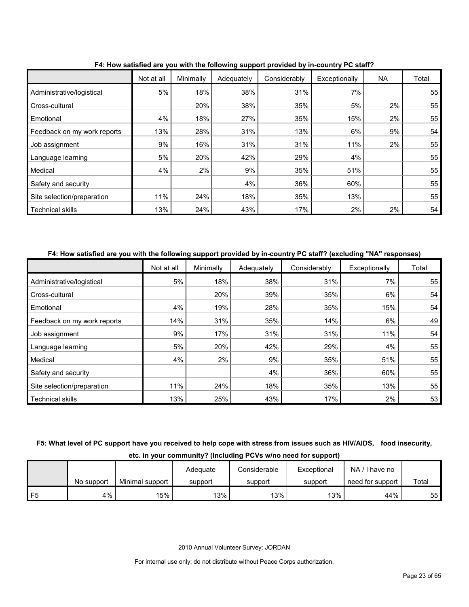|                             | Not at all | Minimally | . <b>.</b><br>Adequately | Considerably | Exceptionally | NA | Total |
|-----------------------------|------------|-----------|--------------------------|--------------|---------------|----|-------|
| Administrative/logistical   | 5%         | 18%       | 38%                      | 31%          | 7%            |    | 55    |
| Cross-cultural              |            | 20%       | 38%                      | 35%          | 5%            | 2% | 55    |
| Emotional                   | 4%         | 18%       | 27%                      | 35%          | 15%           | 2% | 55    |
| Feedback on my work reports | 13%        | 28%       | 31%                      | 13%          | 6%            | 9% | 54    |
| Job assignment              | 9%         | 16%       | 31%                      | 31%          | 11%           | 2% | 55    |
| Language learning           | 5%         | 20%       | 42%                      | 29%          | 4%            |    | 55    |
| Medical                     | 4%         | 2%        | 9%                       | 35%          | 51%           |    | 55    |
| Safety and security         |            |           | 4%                       | 36%          | 60%           |    | 55    |
| Site selection/preparation  | 11%        | 24%       | 18%                      | 35%          | 13%           |    | 55    |
| <b>Technical skills</b>     | 13%        | 24%       | 43%                      | 17%          | 2%            | 2% | 54    |

**F4: How satisfied are you with the following support provided by in-country PC staff?**

## **F4: How satisfied are you with the following support provided by in-country PC staff? (excluding "NA" responses)**

|                             | Not at all | Minimally | Adequately | Considerably | Exceptionally | Total |
|-----------------------------|------------|-----------|------------|--------------|---------------|-------|
| Administrative/logistical   | 5%         | 18%       | 38%        | 31%          | 7%            | 55    |
| Cross-cultural              |            | 20%       | 39%        | 35%          | 6%            | 54    |
| Emotional                   | 4%         | 19%       | 28%        | 35%          | 15%           | 54    |
| Feedback on my work reports | 14%        | 31%       | 35%        | 14%          | 6%            | 49    |
| Job assignment              | 9%         | 17%       | 31%        | 31%          | 11%           | 54    |
| Language learning           | 5%         | 20%       | 42%        | 29%          | 4%            | 55    |
| Medical                     | 4%         | 2%        | 9%         | 35%          | 51%           | 55    |
| Safety and security         |            |           | 4%         | 36%          | 60%           | 55    |
| Site selection/preparation  | 11%        | 24%       | 18%        | 35%          | 13%           | 55    |
| <b>Technical skills</b>     | 13%        | 25%       | 43%        | 17%          | 2%            | 53    |

**F5: What level of PC support have you received to help cope with stress from issues such as HIV/AIDS, food insecurity,** 

**etc. in your community? (Including PCVs w/no need for support)**

|                |            |                 | Adeauate | Considerable | Exceptional | $NA / I$ have no |       |
|----------------|------------|-----------------|----------|--------------|-------------|------------------|-------|
|                | No support | Minimal support | support  | support      | support     | need for support | Total |
| F <sub>5</sub> | 4%         | 15%             | 13%      | 13%          | 13%         | 44%              | 55    |

2010 Annual Volunteer Survey: JORDAN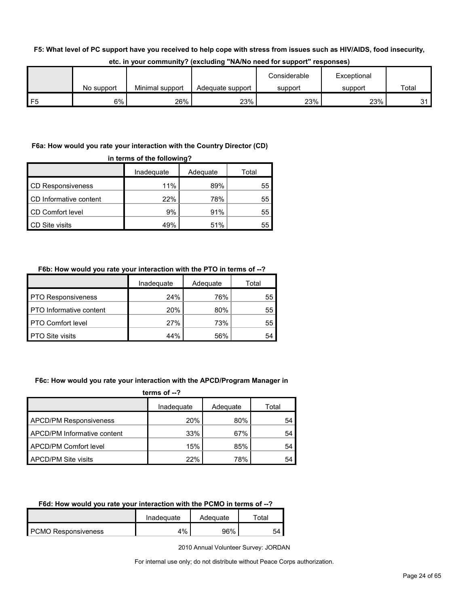#### **F5: What level of PC support have you received to help cope with stress from issues such as HIV/AIDS, food insecurity,**

|    |            |                 |                  | Considerable | Exceptional |       |
|----|------------|-----------------|------------------|--------------|-------------|-------|
|    | No support | Minimal support | Adequate support | support      | support     | Total |
| F5 | 6%         | 26%             | 23%              | 23%          | 23%         | 21    |

#### **etc. in your community? (excluding "NA/No need for support" responses)**

## **F6a: How would you rate your interaction with the Country Director (CD)**

| in terms of the following?      |     |     |    |  |  |  |  |  |
|---------------------------------|-----|-----|----|--|--|--|--|--|
| Adequate<br>Inadequate<br>Total |     |     |    |  |  |  |  |  |
| <b>CD Responsiveness</b>        | 11% | 89% | 55 |  |  |  |  |  |
| CD Informative content          | 22% | 78% | 55 |  |  |  |  |  |
| CD Comfort level                | 9%  | 91% | 55 |  |  |  |  |  |
| <b>CD</b> Site visits           | 49% | 51% | 55 |  |  |  |  |  |

## **F6b: How would you rate your interaction with the PTO in terms of --?**

|                                | Inadequate | Adequate | Total |
|--------------------------------|------------|----------|-------|
| <b>PTO Responsiveness</b>      | 24%        | 76%      | 55    |
| <b>PTO</b> Informative content | 20%        | 80%      | 55    |
| PTO Comfort level              | 27%        | 73%      | 55    |
| <b>PTO Site visits</b>         | 44%        | 56%      | 54    |

#### **F6c: How would you rate your interaction with the APCD/Program Manager in**

**terms of --?**

|                               | Inadequate | Adequate | Total |
|-------------------------------|------------|----------|-------|
| <b>APCD/PM Responsiveness</b> | 20%        | 80%      | 54    |
| APCD/PM Informative content   | 33%        | 67%      | 54    |
| APCD/PM Comfort level         | 15%        | 85%      | 54    |
| <b>APCD/PM Site visits</b>    | 22%        | 78%      | 54    |

## **F6d: How would you rate your interaction with the PCMO in terms of --?**

|                            | Inadeguate | Adequate | ™otal |
|----------------------------|------------|----------|-------|
| <b>PCMO Responsiveness</b> | 4%         | 96%      | 54    |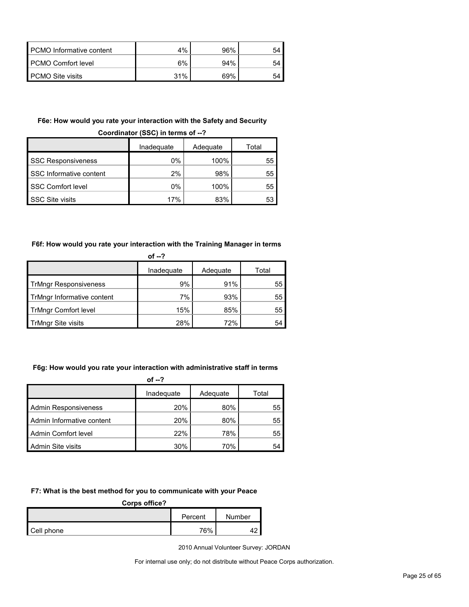| PCMO Informative content | 4%  | 96% | 54 |
|--------------------------|-----|-----|----|
| PCMO Comfort level       | 6%  | 94% | 54 |
| <b>PCMO Site visits</b>  | 31% | 69% | 54 |

#### **F6e: How would you rate your interaction with the Safety and Security**

|                           | Inadequate | Adequate | Total |  |  |  |
|---------------------------|------------|----------|-------|--|--|--|
| <b>SSC Responsiveness</b> | 0%         | 100%     | 55    |  |  |  |
| SSC Informative content   | 2%         | 98%      | 55    |  |  |  |
| <b>SSC Comfort level</b>  | 0%         | 100%     | 55    |  |  |  |
| <b>SSC Site visits</b>    | 17%        | 83%      | 53    |  |  |  |

## **Coordinator (SSC) in terms of --?**

## **F6f: How would you rate your interaction with the Training Manager in terms**

| of $-2$                      |            |          |       |  |  |  |
|------------------------------|------------|----------|-------|--|--|--|
|                              | Inadequate | Adequate | Total |  |  |  |
| <b>TrMngr Responsiveness</b> | 9%         | 91%      | 55    |  |  |  |
| TrMngr Informative content   | 7%         | 93%      | 55    |  |  |  |
| <b>TrMngr Comfort level</b>  | 15%        | 85%      | 55    |  |  |  |
| TrMngr Site visits           | 28%        | 72%      | 54    |  |  |  |

## **F6g: How would you rate your interaction with administrative staff in terms**

**of --?**

|                             | Inadequate | Adequate | Total |
|-----------------------------|------------|----------|-------|
| <b>Admin Responsiveness</b> | 20%        | 80%      | 55    |
| Admin Informative content   | <b>20%</b> | 80%      | 55    |
| Admin Comfort level         | 22%        | 78%      | 55    |
| Admin Site visits           | 30%        | 70%      | 54    |

#### **F7: What is the best method for you to communicate with your Peace**

#### **Corps office?**

|            | Percent | Number |
|------------|---------|--------|
| Cell phone | 76%     |        |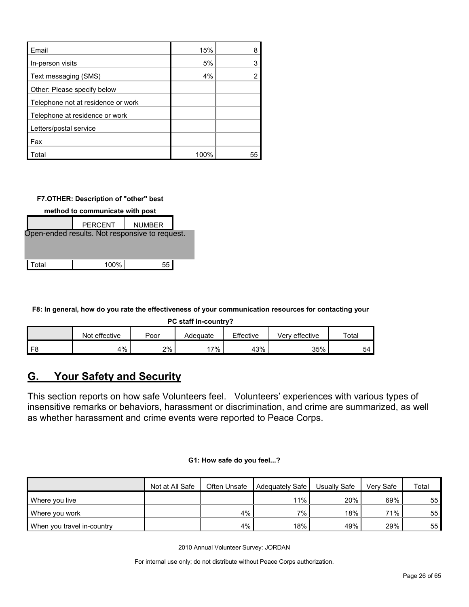| Email                              | 15%  | 8  |
|------------------------------------|------|----|
| In-person visits                   | 5%   |    |
| Text messaging (SMS)               | 4%   |    |
| Other: Please specify below        |      |    |
| Telephone not at residence or work |      |    |
| Telephone at residence or work     |      |    |
| Letters/postal service             |      |    |
| Fax                                |      |    |
| Total                              | 100% | 55 |

**F7.OTHER: Description of "other" best** 

| method to communicate with post                |    |  |  |  |  |  |
|------------------------------------------------|----|--|--|--|--|--|
| <b>PERCENT</b><br><b>NUMBER</b>                |    |  |  |  |  |  |
| Open-ended results. Not responsive to request. |    |  |  |  |  |  |
|                                                |    |  |  |  |  |  |
| 100%                                           | 55 |  |  |  |  |  |
|                                                |    |  |  |  |  |  |

**F8: In general, how do you rate the effectiveness of your communication resources for contacting your** 

**PC staff in-country?**

|      | effective<br>Not | Poor | Adequate | Effective | Verv effective | Total |
|------|------------------|------|----------|-----------|----------------|-------|
| l F8 | 4%               | 2%   | 7%       | 43%       | 35%            | 54    |

## <span id="page-25-0"></span>**G. Your Safety and Security**

This section reports on how safe Volunteers feel. Volunteers' experiences with various types of insensitive remarks or behaviors, harassment or discrimination, and crime are summarized, as well as whether harassment and crime events were reported to Peace Corps.

#### **G1: How safe do you feel...?**

|                            | Not at All Safe | Often Unsafe | Adequately Safe | Usually Safe | Verv Safe | Total |
|----------------------------|-----------------|--------------|-----------------|--------------|-----------|-------|
| Where you live             |                 |              | 11%             | 20%          | 69%       | 55    |
| Where you work             |                 | 4%           | $7\%$           | 18%          | 71%       | 55    |
| When you travel in-country |                 | 4%           | $18\%$          | 49%          | 29%       | 55    |

2010 Annual Volunteer Survey: JORDAN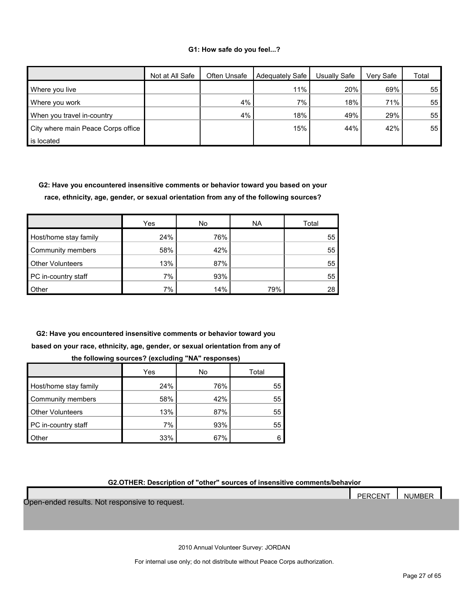#### **G1: How safe do you feel...?**

|                                    | Not at All Safe | Often Unsafe | Adequately Safe | Usuallv Safe | Very Safe | Total |
|------------------------------------|-----------------|--------------|-----------------|--------------|-----------|-------|
| Where you live                     |                 |              | 11%             | 20%          | 69%       | 55    |
| Where you work                     |                 | 4%           | 7%              | 18%          | 71%       | 55    |
| When you travel in-country         |                 | 4%           | 18%             | 49%          | 29%       | 55    |
| City where main Peace Corps office |                 |              | 15%             | 44%          | 42%       | 55    |
| is located                         |                 |              |                 |              |           |       |

**G2: Have you encountered insensitive comments or behavior toward you based on your race, ethnicity, age, gender, or sexual orientation from any of the following sources?**

|                         | Yes | No  | <b>NA</b> | Total |
|-------------------------|-----|-----|-----------|-------|
| Host/home stay family   | 24% | 76% |           | 55    |
| Community members       | 58% | 42% |           | 55    |
| <b>Other Volunteers</b> | 13% | 87% |           | 55    |
| PC in-country staff     | 7%  | 93% |           | 55    |
| Other                   | 7%  | 14% | 79%       | 28    |

**G2: Have you encountered insensitive comments or behavior toward you based on your race, ethnicity, age, gender, or sexual orientation from any of** 

|                         | Yes | No  | Total |
|-------------------------|-----|-----|-------|
| Host/home stay family   | 24% | 76% | 55    |
| Community members       | 58% | 42% | 55    |
| <b>Other Volunteers</b> | 13% | 87% | 55    |
| PC in-country staff     | 7%  | 93% | 55    |
| <b>Other</b>            | 33% | 67% | հ     |

**the following sources? (excluding "NA" responses)**

**G2.OTHER: Description of "other" sources of insensitive comments/behavior**

PERCENT NUMBER Open-ended results. Not responsive to request.

2010 Annual Volunteer Survey: JORDAN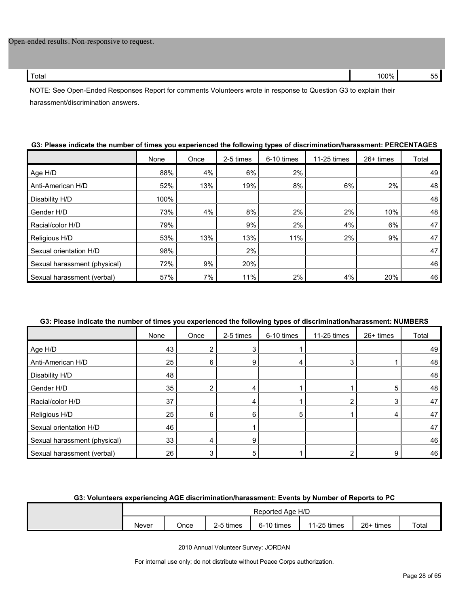| Total | `nn% | -- |
|-------|------|----|
|       |      |    |

NOTE: See Open-Ended Responses Report for comments Volunteers wrote in response to Question G3 to explain their harassment/discrimination answers.

|                              | None | Once | 2-5 times | 6-10 times | 11-25 times | 26+ times | Total |
|------------------------------|------|------|-----------|------------|-------------|-----------|-------|
| Age H/D                      | 88%  | 4%   | 6%        | 2%         |             |           | 49    |
| Anti-American H/D            | 52%  | 13%  | 19%       | 8%         | 6%          | 2%        | 48    |
| Disability H/D               | 100% |      |           |            |             |           | 48    |
| Gender H/D                   | 73%  | 4%   | 8%        | 2%         | 2%          | 10%       | 48    |
| Racial/color H/D             | 79%  |      | 9%        | 2%         | 4%          | 6%        | 47    |
| Religious H/D                | 53%  | 13%  | 13%       | 11%        | 2%          | 9%        | 47    |
| Sexual orientation H/D       | 98%  |      | 2%        |            |             |           | 47    |
| Sexual harassment (physical) | 72%  | 9%   | 20%       |            |             |           | 46    |
| Sexual harassment (verbal)   | 57%  | 7%   | 11%       | 2%         | 4%          | 20%       | 46    |

## **G3: Please indicate the number of times you experienced the following types of discrimination/harassment: PERCENTAGES**

#### **G3: Please indicate the number of times you experienced the following types of discrimination/harassment: NUMBERS**

|                              | None | Once | 2-5 times | 6-10 times | 11-25 times | 26+ times | Total |
|------------------------------|------|------|-----------|------------|-------------|-----------|-------|
| Age H/D                      | 43   |      |           |            |             |           | 49    |
| Anti-American H/D            | 25   | 6    | 9         |            | 3           |           | 48    |
| Disability H/D               | 48   |      |           |            |             |           | 48    |
| Gender H/D                   | 35   |      |           |            |             | 5         | 48    |
| Racial/color H/D             | 37   |      |           |            |             | 3         | 47    |
| Religious H/D                | 25   | 6    | n         | 5          |             | 4         | 47    |
| Sexual orientation H/D       | 46   |      |           |            |             |           | 47    |
| Sexual harassment (physical) | 33   |      | 9         |            |             |           | 46    |
| Sexual harassment (verbal)   | 26   |      | 5         |            |             | 9         | 46    |

#### **G3: Volunteers experiencing AGE discrimination/harassment: Events by Number of Reports to PC**

|       | Reported Age H/D |           |            |             |             |       |  |  |  |
|-------|------------------|-----------|------------|-------------|-------------|-------|--|--|--|
| Never | Once             | 2-5 times | 6-10 times | 11-25 times | $26+$ times | Total |  |  |  |

2010 Annual Volunteer Survey: JORDAN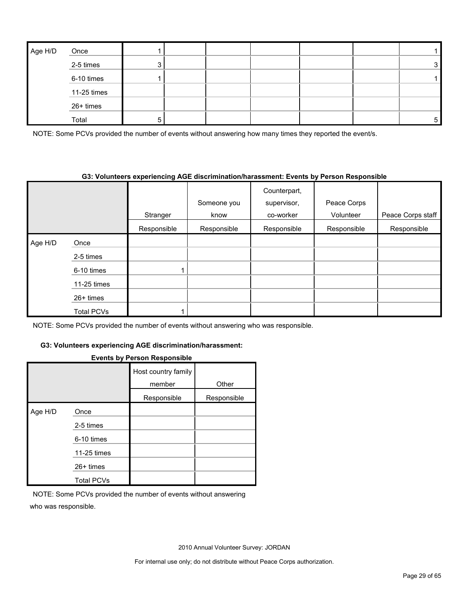| Age H/D | Once        |  |  |  |   |
|---------|-------------|--|--|--|---|
|         | 2-5 times   |  |  |  | 3 |
|         | 6-10 times  |  |  |  |   |
|         | 11-25 times |  |  |  |   |
|         | 26+ times   |  |  |  |   |
|         | Total       |  |  |  | 5 |

NOTE: Some PCVs provided the number of events without answering how many times they reported the event/s.

#### **G3: Volunteers experiencing AGE discrimination/harassment: Events by Person Responsible**

|         |                   |             |             | Counterpart, | Peace Corps |                   |
|---------|-------------------|-------------|-------------|--------------|-------------|-------------------|
|         |                   |             | Someone you | supervisor,  |             |                   |
|         |                   | Stranger    | know        | co-worker    | Volunteer   | Peace Corps staff |
|         |                   | Responsible | Responsible | Responsible  | Responsible | Responsible       |
| Age H/D | Once              |             |             |              |             |                   |
|         | 2-5 times         |             |             |              |             |                   |
|         | 6-10 times        | 1           |             |              |             |                   |
|         | 11-25 times       |             |             |              |             |                   |
|         | 26+ times         |             |             |              |             |                   |
|         | <b>Total PCVs</b> |             |             |              |             |                   |

NOTE: Some PCVs provided the number of events without answering who was responsible.

## **G3: Volunteers experiencing AGE discrimination/harassment:**

## **Events by Person Responsible**

|         |                   | Host country family<br>member | Other       |
|---------|-------------------|-------------------------------|-------------|
|         |                   | Responsible                   | Responsible |
| Age H/D | Once              |                               |             |
|         | 2-5 times         |                               |             |
|         | 6-10 times        |                               |             |
|         | 11-25 times       |                               |             |
|         | $26+$ times       |                               |             |
|         | <b>Total PCVs</b> |                               |             |

NOTE: Some PCVs provided the number of events without answering who was responsible.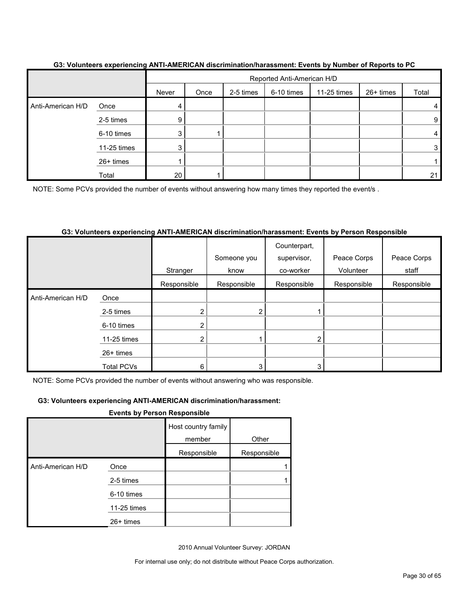|                   |             |       | Reported Anti-American H/D |           |            |             |           |       |
|-------------------|-------------|-------|----------------------------|-----------|------------|-------------|-----------|-------|
|                   |             | Never | Once                       | 2-5 times | 6-10 times | 11-25 times | 26+ times | Total |
| Anti-American H/D | Once        | 4     |                            |           |            |             |           |       |
|                   | 2-5 times   | 9     |                            |           |            |             |           | 9     |
|                   | 6-10 times  |       |                            |           |            |             |           |       |
|                   | 11-25 times |       |                            |           |            |             |           | 3     |
|                   | 26+ times   |       |                            |           |            |             |           |       |
|                   | Total       | 20    |                            |           |            |             |           | 21    |

#### **G3: Volunteers experiencing ANTI-AMERICAN discrimination/harassment: Events by Number of Reports to PC**

NOTE: Some PCVs provided the number of events without answering how many times they reported the event/s.

#### **G3: Volunteers experiencing ANTI-AMERICAN discrimination/harassment: Events by Person Responsible**

|                   |                   |             | Someone you | Counterpart,<br>supervisor, | Peace Corps | Peace Corps |
|-------------------|-------------------|-------------|-------------|-----------------------------|-------------|-------------|
|                   |                   | Stranger    | know        | co-worker                   | Volunteer   | staff       |
|                   |                   | Responsible | Responsible | Responsible                 | Responsible | Responsible |
| Anti-American H/D | Once              |             |             |                             |             |             |
|                   | 2-5 times         | ⌒           | 2           |                             |             |             |
|                   | 6-10 times        | ◠           |             |                             |             |             |
|                   | 11-25 times       | ኅ           |             | 2                           |             |             |
|                   | 26+ times         |             |             |                             |             |             |
|                   | <b>Total PCVs</b> | 6           | 3           | 3                           |             |             |

NOTE: Some PCVs provided the number of events without answering who was responsible.

#### **G3: Volunteers experiencing ANTI-AMERICAN discrimination/harassment:**

#### **Events by Person Responsible**

|                   | . <b>.</b>  | .                             |             |
|-------------------|-------------|-------------------------------|-------------|
|                   |             | Host country family<br>member | Other       |
|                   |             | Responsible                   | Responsible |
| Anti-American H/D | Once        |                               |             |
|                   | 2-5 times   |                               |             |
|                   | 6-10 times  |                               |             |
|                   | 11-25 times |                               |             |
|                   | $26+$ times |                               |             |

2010 Annual Volunteer Survey: JORDAN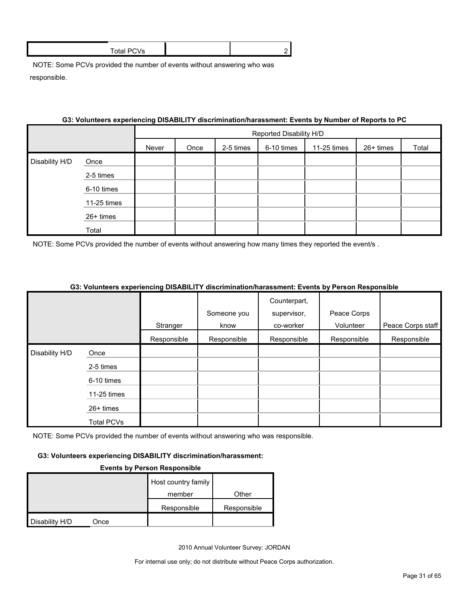| $\mathbf{r}$ . The state of the state of the state of the state of the state of the state of the state of the state of the state of the state of the state of the state of the state of the state of the state of the state of th |  |
|-----------------------------------------------------------------------------------------------------------------------------------------------------------------------------------------------------------------------------------|--|
|                                                                                                                                                                                                                                   |  |

#### **G3: Volunteers experiencing DISABILITY discrimination/harassment: Events by Number of Reports to PC**

|                |             |       | Reported Disability H/D                                              |  |  |  |  |  |  |  |
|----------------|-------------|-------|----------------------------------------------------------------------|--|--|--|--|--|--|--|
|                |             | Never | Total<br>6-10 times<br>2-5 times<br>11-25 times<br>26+ times<br>Once |  |  |  |  |  |  |  |
| Disability H/D | Once        |       |                                                                      |  |  |  |  |  |  |  |
|                | 2-5 times   |       |                                                                      |  |  |  |  |  |  |  |
|                | 6-10 times  |       |                                                                      |  |  |  |  |  |  |  |
|                | 11-25 times |       |                                                                      |  |  |  |  |  |  |  |
|                | 26+ times   |       |                                                                      |  |  |  |  |  |  |  |
|                | Total       |       |                                                                      |  |  |  |  |  |  |  |

NOTE: Some PCVs provided the number of events without answering how many times they reported the event/s.

|                |                                | Stranger<br>Responsible | Someone you<br>know<br>Responsible | Counterpart,<br>supervisor,<br>co-worker<br>Responsible | Peace Corps<br>Volunteer<br>Responsible | Peace Corps staff<br>Responsible |
|----------------|--------------------------------|-------------------------|------------------------------------|---------------------------------------------------------|-----------------------------------------|----------------------------------|
| Disability H/D | Once<br>2-5 times              |                         |                                    |                                                         |                                         |                                  |
|                | 6-10 times<br>11-25 times      |                         |                                    |                                                         |                                         |                                  |
|                | 26+ times<br><b>Total PCVs</b> |                         |                                    |                                                         |                                         |                                  |

#### **G3: Volunteers experiencing DISABILITY discrimination/harassment: Events by Person Responsible**

NOTE: Some PCVs provided the number of events without answering who was responsible.

#### **G3: Volunteers experiencing DISABILITY discrimination/harassment:**

#### **Events by Person Responsible**

|                |      | Host country family |             |
|----------------|------|---------------------|-------------|
|                |      | member              | Other       |
|                |      | Responsible         | Responsible |
| Disability H/D | Once |                     |             |

2010 Annual Volunteer Survey: JORDAN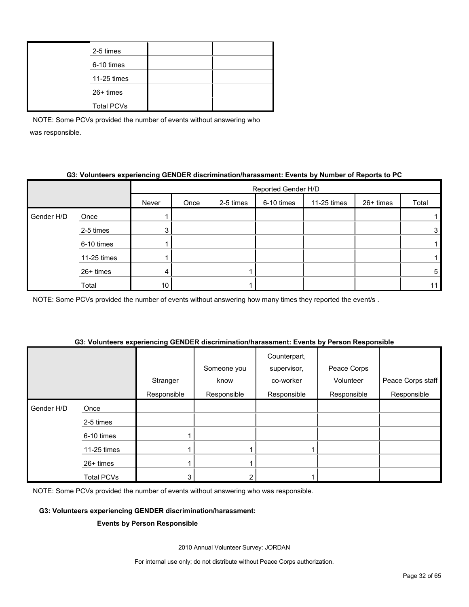| 2-5 times         |  |
|-------------------|--|
| 6-10 times        |  |
| 11-25 times       |  |
| $26+$ times       |  |
| <b>Total PCVs</b> |  |

## **G3: Volunteers experiencing GENDER discrimination/harassment: Events by Number of Reports to PC**

|            |             |       | Reported Gender H/D |           |            |             |           |       |  |  |
|------------|-------------|-------|---------------------|-----------|------------|-------------|-----------|-------|--|--|
|            |             | Never | Once                | 2-5 times | 6-10 times | 11-25 times | 26+ times | Total |  |  |
| Gender H/D | Once        |       |                     |           |            |             |           |       |  |  |
|            | 2-5 times   | ົ     |                     |           |            |             |           | 3     |  |  |
|            | 6-10 times  |       |                     |           |            |             |           |       |  |  |
|            | 11-25 times |       |                     |           |            |             |           |       |  |  |
|            | 26+ times   | 4     |                     |           |            |             |           | 5     |  |  |
|            | Total       | 10    |                     |           |            |             |           |       |  |  |

NOTE: Some PCVs provided the number of events without answering how many times they reported the event/s.

|            |                   | $\sim$ $\sim$ | Someone you | Counterpart,<br>supervisor, | ----<br>Peace Corps |                   |
|------------|-------------------|---------------|-------------|-----------------------------|---------------------|-------------------|
|            |                   | Stranger      | know        | co-worker                   | Volunteer           | Peace Corps staff |
|            |                   | Responsible   | Responsible | Responsible                 | Responsible         | Responsible       |
| Gender H/D | Once              |               |             |                             |                     |                   |
|            | 2-5 times         |               |             |                             |                     |                   |
|            | 6-10 times        |               |             |                             |                     |                   |
|            | 11-25 times       |               |             |                             |                     |                   |
|            | 26+ times         |               |             |                             |                     |                   |
|            | <b>Total PCVs</b> |               |             |                             |                     |                   |

#### **G3: Volunteers experiencing GENDER discrimination/harassment: Events by Person Responsible**

NOTE: Some PCVs provided the number of events without answering who was responsible.

#### **G3: Volunteers experiencing GENDER discrimination/harassment:**

#### **Events by Person Responsible**

2010 Annual Volunteer Survey: JORDAN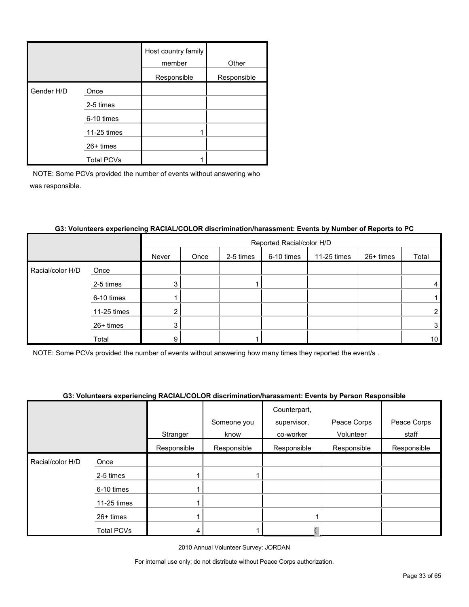|            |                   | Host country family<br>member | Other       |
|------------|-------------------|-------------------------------|-------------|
|            |                   | Responsible                   | Responsible |
| Gender H/D | Once              |                               |             |
|            | 2-5 times         |                               |             |
|            | 6-10 times        |                               |             |
|            | 11-25 times       |                               |             |
|            | $26+$ times       |                               |             |
|            | <b>Total PCVs</b> |                               |             |

|                  |             |       | Reported Racial/color H/D |           |            |             |           |                 |  |
|------------------|-------------|-------|---------------------------|-----------|------------|-------------|-----------|-----------------|--|
|                  |             | Never | Once                      | 2-5 times | 6-10 times | 11-25 times | 26+ times | Total           |  |
| Racial/color H/D | Once        |       |                           |           |            |             |           |                 |  |
|                  | 2-5 times   | 3     |                           |           |            |             |           | 4               |  |
|                  | 6-10 times  |       |                           |           |            |             |           |                 |  |
|                  | 11-25 times | റ     |                           |           |            |             |           | $\overline{2}$  |  |
|                  | 26+ times   | 3     |                           |           |            |             |           | 3               |  |
|                  | Total       | 9     |                           |           |            |             |           | 10 <sub>1</sub> |  |

## **G3: Volunteers experiencing RACIAL/COLOR discrimination/harassment: Events by Number of Reports to PC**

NOTE: Some PCVs provided the number of events without answering how many times they reported the event/s .

## **G3: Volunteers experiencing RACIAL/COLOR discrimination/harassment: Events by Person Responsible**

|                  |             | Stranger    | Someone you<br>know | Counterpart,<br>supervisor,<br>co-worker | Peace Corps<br>Volunteer | Peace Corps<br>staff |
|------------------|-------------|-------------|---------------------|------------------------------------------|--------------------------|----------------------|
|                  |             |             |                     |                                          |                          |                      |
|                  |             | Responsible | Responsible         | Responsible                              | Responsible              | Responsible          |
| Racial/color H/D | Once        |             |                     |                                          |                          |                      |
|                  | 2-5 times   |             |                     |                                          |                          |                      |
|                  | 6-10 times  |             |                     |                                          |                          |                      |
|                  | 11-25 times |             |                     |                                          |                          |                      |
|                  | 26+ times   |             |                     |                                          |                          |                      |
|                  | Total PCVs  | 4           |                     |                                          |                          |                      |
|                  |             |             |                     |                                          |                          |                      |

2010 Annual Volunteer Survey: JORDAN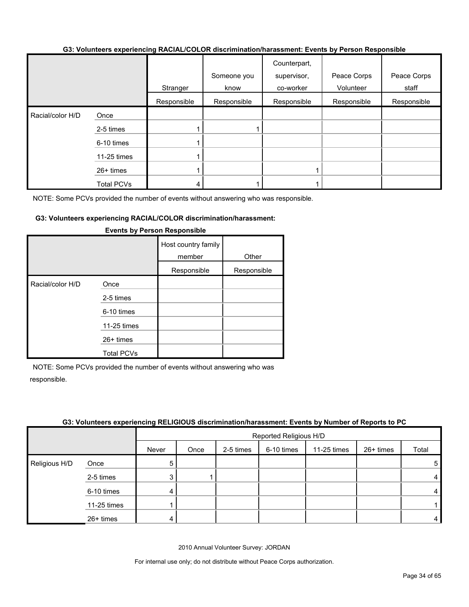#### **G3: Volunteers experiencing RACIAL/COLOR discrimination/harassment: Events by Person Responsible**

|                  |                   | Stranger    | Someone you<br>know | Counterpart,<br>supervisor,<br>co-worker | Peace Corps<br>Volunteer | Peace Corps<br>staff |
|------------------|-------------------|-------------|---------------------|------------------------------------------|--------------------------|----------------------|
|                  |                   | Responsible | Responsible         | Responsible                              | Responsible              | Responsible          |
| Racial/color H/D | Once              |             |                     |                                          |                          |                      |
|                  | 2-5 times         |             |                     |                                          |                          |                      |
|                  | 6-10 times        |             |                     |                                          |                          |                      |
|                  | 11-25 times       |             |                     |                                          |                          |                      |
|                  | $26+$ times       |             |                     |                                          |                          |                      |
|                  | <b>Total PCVs</b> |             |                     |                                          |                          |                      |

NOTE: Some PCVs provided the number of events without answering who was responsible.

#### **G3: Volunteers experiencing RACIAL/COLOR discrimination/harassment:**

|                  |                   | Host country family<br>member | Other       |
|------------------|-------------------|-------------------------------|-------------|
|                  |                   | Responsible                   | Responsible |
| Racial/color H/D | Once              |                               |             |
|                  | 2-5 times         |                               |             |
|                  | 6-10 times        |                               |             |
|                  | 11-25 times       |                               |             |
|                  | $26+$ times       |                               |             |
|                  | <b>Total PCVs</b> |                               |             |

#### **Events by Person Responsible**

NOTE: Some PCVs provided the number of events without answering who was responsible.

#### **G3: Volunteers experiencing RELIGIOUS discrimination/harassment: Events by Number of Reports to PC**

|               |             |       | Reported Religious H/D |           |            |             |           |       |
|---------------|-------------|-------|------------------------|-----------|------------|-------------|-----------|-------|
|               |             | Never | Once                   | 2-5 times | 6-10 times | 11-25 times | 26+ times | Total |
| Religious H/D | Once        | 5     |                        |           |            |             |           | 5     |
|               | 2-5 times   | 3     |                        |           |            |             |           | 4     |
|               | 6-10 times  | 4     |                        |           |            |             |           | 4     |
|               | 11-25 times |       |                        |           |            |             |           |       |
|               | 26+ times   | 4     |                        |           |            |             |           | 4     |

2010 Annual Volunteer Survey: JORDAN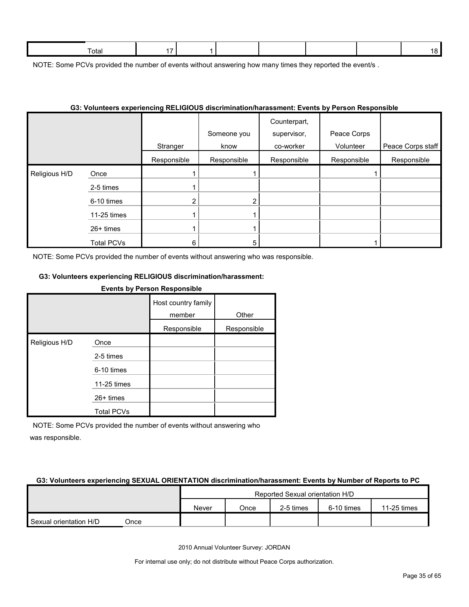| l otal |  |  |  |  |
|--------|--|--|--|--|
|        |  |  |  |  |

NOTE: Some PCVs provided the number of events without answering how many times they reported the event/s.

| G3: Volunteers experiencing RELIGIOUS discrimination/harassment: Events by Person Responsible |             |                         |                                    |                                                         |                                         |                                  |  |  |
|-----------------------------------------------------------------------------------------------|-------------|-------------------------|------------------------------------|---------------------------------------------------------|-----------------------------------------|----------------------------------|--|--|
|                                                                                               |             | Stranger<br>Responsible | Someone you<br>know<br>Responsible | Counterpart,<br>supervisor,<br>co-worker<br>Responsible | Peace Corps<br>Volunteer<br>Responsible | Peace Corps staff<br>Responsible |  |  |
| Religious H/D                                                                                 | Once        |                         |                                    |                                                         |                                         |                                  |  |  |
|                                                                                               | 2-5 times   |                         |                                    |                                                         |                                         |                                  |  |  |
|                                                                                               | 6-10 times  | $\overline{2}$          |                                    |                                                         |                                         |                                  |  |  |
|                                                                                               | 11-25 times |                         |                                    |                                                         |                                         |                                  |  |  |
|                                                                                               | $26+$ times |                         |                                    |                                                         |                                         |                                  |  |  |
|                                                                                               | Total PCVs  | 6                       | 5                                  |                                                         |                                         |                                  |  |  |

#### **G3: Volunteers experiencing RELIGIOUS discrimination/harassment: Events by Person Responsible**

NOTE: Some PCVs provided the number of events without answering who was responsible.

#### **G3: Volunteers experiencing RELIGIOUS discrimination/harassment:**

#### **Events by Person Responsible**

|               |                   | Host country family<br>member | Other       |
|---------------|-------------------|-------------------------------|-------------|
|               |                   | Responsible                   | Responsible |
| Religious H/D | Once              |                               |             |
|               | 2-5 times         |                               |             |
|               | 6-10 times        |                               |             |
|               | 11-25 times       |                               |             |
|               | $26+$ times       |                               |             |
|               | <b>Total PCVs</b> |                               |             |

NOTE: Some PCVs provided the number of events without answering who was responsible.

#### **G3: Volunteers experiencing SEXUAL ORIENTATION discrimination/harassment: Events by Number of Reports to PC**

|                        |      | Reported Sexual orientation H/D |      |           |            |             |  |
|------------------------|------|---------------------------------|------|-----------|------------|-------------|--|
|                        |      | Never                           | Once | 2-5 times | 6-10 times | 11-25 times |  |
| Sexual orientation H/D | วnce |                                 |      |           |            |             |  |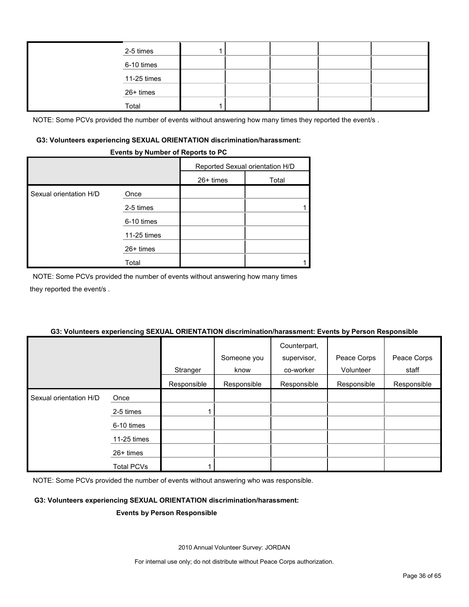| 2-5 times   |  |  |  |
|-------------|--|--|--|
| 6-10 times  |  |  |  |
| 11-25 times |  |  |  |
| 26+ times   |  |  |  |
| Total       |  |  |  |

NOTE: Some PCVs provided the number of events without answering how many times they reported the event/s.

#### **G3: Volunteers experiencing SEXUAL ORIENTATION discrimination/harassment:**

#### **Events by Number of Reports to PC**

|                        |             | Reported Sexual orientation H/D |       |
|------------------------|-------------|---------------------------------|-------|
|                        |             | $26+$ times                     | Total |
| Sexual orientation H/D | Once        |                                 |       |
|                        | 2-5 times   |                                 |       |
|                        | 6-10 times  |                                 |       |
|                        | 11-25 times |                                 |       |
|                        | 26+ times   |                                 |       |
|                        | Total       |                                 |       |

NOTE: Some PCVs provided the number of events without answering how many times they reported the event/s .

#### **Stranger** Someone you know Counterpart, supervisor, co-worker Peace Corps Volunteer Peace Corps staff Responsible Responsible Responsible Responsible Responsible Sexual orientation H/D Once 2-5 times 1 6-10 times 11-25 times 26+ times Total PCVs | 1

## **G3: Volunteers experiencing SEXUAL ORIENTATION discrimination/harassment: Events by Person Responsible**

NOTE: Some PCVs provided the number of events without answering who was responsible.

### **G3: Volunteers experiencing SEXUAL ORIENTATION discrimination/harassment:**

#### **Events by Person Responsible**

2010 Annual Volunteer Survey: JORDAN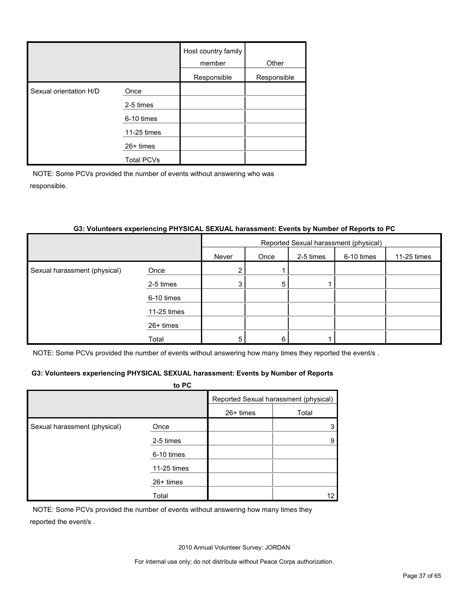|                        |                   | Host country family<br>member | Other       |
|------------------------|-------------------|-------------------------------|-------------|
|                        |                   | Responsible                   | Responsible |
| Sexual orientation H/D | Once              |                               |             |
|                        | 2-5 times         |                               |             |
|                        | 6-10 times        |                               |             |
|                        | 11-25 times       |                               |             |
|                        | $26+$ times       |                               |             |
|                        | <b>Total PCVs</b> |                               |             |

|                              | 33. VOIUNteers experiencing PHTSICAL SEXUAL narassment: Events by Number of Reports to PC |       |                                       |           |            |             |  |
|------------------------------|-------------------------------------------------------------------------------------------|-------|---------------------------------------|-----------|------------|-------------|--|
|                              |                                                                                           |       | Reported Sexual harassment (physical) |           |            |             |  |
|                              |                                                                                           | Never | Once                                  | 2-5 times | 6-10 times | 11-25 times |  |
| Sexual harassment (physical) | Once                                                                                      | 2     |                                       |           |            |             |  |
|                              | 2-5 times                                                                                 | 3     | 5                                     |           |            |             |  |
|                              | 6-10 times                                                                                |       |                                       |           |            |             |  |
|                              | $11-25$ times                                                                             |       |                                       |           |            |             |  |
|                              | 26+ times                                                                                 |       |                                       |           |            |             |  |
|                              | Total                                                                                     | 5     | 6                                     |           |            |             |  |

## **G3: Volunteers experiencing PHYSICAL SEXUAL harassment: Events by Number of Reports to PC**

NOTE: Some PCVs provided the number of events without answering how many times they reported the event/s .

#### **G3: Volunteers experiencing PHYSICAL SEXUAL harassment: Events by Number of Reports**

|                              | to PC       |           |                                       |
|------------------------------|-------------|-----------|---------------------------------------|
|                              |             |           | Reported Sexual harassment (physical) |
|                              |             | 26+ times | Total                                 |
| Sexual harassment (physical) | Once        |           |                                       |
|                              | 2-5 times   |           | 9                                     |
|                              | 6-10 times  |           |                                       |
|                              | 11-25 times |           |                                       |
|                              | $26+$ times |           |                                       |
|                              | Total       |           | 12                                    |

NOTE: Some PCVs provided the number of events without answering how many times they reported the event/s .

2010 Annual Volunteer Survey: JORDAN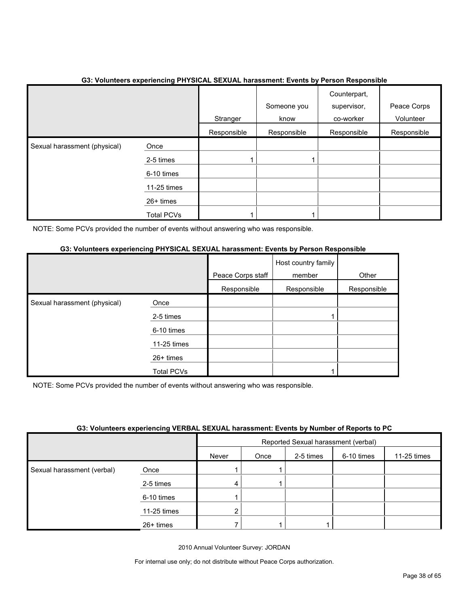|                              |                   |             | OU. TURNICULU UAPUNUMING I NTUMULE UEAUAE NARAUGINING. ETUNG NY I UNUUN ROOPUNUMIU |                             |             |
|------------------------------|-------------------|-------------|------------------------------------------------------------------------------------|-----------------------------|-------------|
|                              |                   |             | Someone you                                                                        | Counterpart,<br>supervisor, | Peace Corps |
|                              |                   | Stranger    | know                                                                               | co-worker                   | Volunteer   |
|                              |                   | Responsible | Responsible                                                                        | Responsible                 | Responsible |
| Sexual harassment (physical) | Once              |             |                                                                                    |                             |             |
|                              | 2-5 times         |             |                                                                                    |                             |             |
|                              | 6-10 times        |             |                                                                                    |                             |             |
|                              | 11-25 times       |             |                                                                                    |                             |             |
|                              | 26+ times         |             |                                                                                    |                             |             |
|                              | <b>Total PCVs</b> |             |                                                                                    |                             |             |

## **G3: Volunteers experiencing PHYSICAL SEXUAL harassment: Events by Person Responsible**

NOTE: Some PCVs provided the number of events without answering who was responsible.

## **G3: Volunteers experiencing PHYSICAL SEXUAL harassment: Events by Person Responsible**

|                              |                   | Peace Corps staff | Host country family<br>member | Other       |
|------------------------------|-------------------|-------------------|-------------------------------|-------------|
|                              |                   | Responsible       | Responsible                   | Responsible |
| Sexual harassment (physical) | Once              |                   |                               |             |
|                              | 2-5 times         |                   |                               |             |
|                              | 6-10 times        |                   |                               |             |
|                              | 11-25 times       |                   |                               |             |
|                              | 26+ times         |                   |                               |             |
|                              | <b>Total PCVs</b> |                   |                               |             |

NOTE: Some PCVs provided the number of events without answering who was responsible.

| G3: Volunteers experiencing VERBAL SEXUAL harassment: Events by Number of Reports to PC |  |  |  |
|-----------------------------------------------------------------------------------------|--|--|--|
|                                                                                         |  |  |  |

|                            |             | Reported Sexual harassment (verbal) |      |           |            |             |
|----------------------------|-------------|-------------------------------------|------|-----------|------------|-------------|
|                            |             | Never                               | Once | 2-5 times | 6-10 times | 11-25 times |
| Sexual harassment (verbal) | Once        |                                     |      |           |            |             |
|                            | 2-5 times   | 4                                   |      |           |            |             |
|                            | 6-10 times  |                                     |      |           |            |             |
|                            | 11-25 times |                                     |      |           |            |             |
|                            | $26+$ times |                                     |      |           |            |             |

2010 Annual Volunteer Survey: JORDAN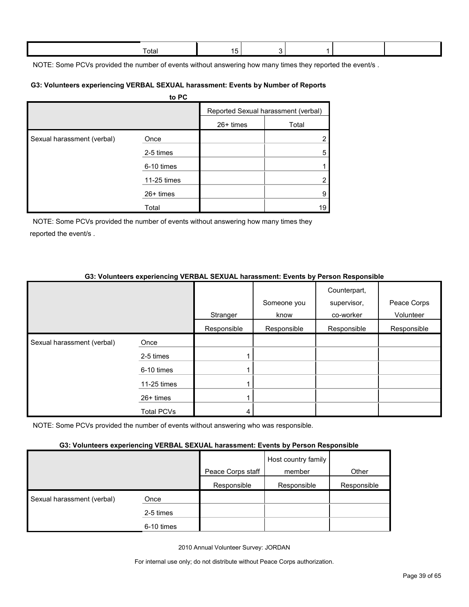| ⊺otal |  |  |  |
|-------|--|--|--|
|       |  |  |  |
|       |  |  |  |

NOTE: Some PCVs provided the number of events without answering how many times they reported the event/s.

#### **G3: Volunteers experiencing VERBAL SEXUAL harassment: Events by Number of Reports**

|                            | to PC       |             |                                     |
|----------------------------|-------------|-------------|-------------------------------------|
|                            |             |             | Reported Sexual harassment (verbal) |
|                            |             | $26+$ times | Total                               |
| Sexual harassment (verbal) | Once        |             | $\overline{2}$                      |
|                            | 2-5 times   |             | 5                                   |
|                            | 6-10 times  |             |                                     |
|                            | 11-25 times |             | $\overline{2}$                      |
|                            | $26+$ times |             | 9                                   |
|                            | Total       |             | 19                                  |

NOTE: Some PCVs provided the number of events without answering how many times they reported the event/s .

## **G3: Volunteers experiencing VERBAL SEXUAL harassment: Events by Person Responsible**

|                            |                   |             |             | Counterpart, |             |
|----------------------------|-------------------|-------------|-------------|--------------|-------------|
|                            |                   |             | Someone you | supervisor,  | Peace Corps |
|                            |                   | Stranger    | know        | co-worker    | Volunteer   |
|                            |                   | Responsible | Responsible | Responsible  | Responsible |
| Sexual harassment (verbal) | Once              |             |             |              |             |
|                            | 2-5 times         |             |             |              |             |
|                            | 6-10 times        |             |             |              |             |
|                            | 11-25 times       |             |             |              |             |
|                            | $26+$ times       |             |             |              |             |
|                            | <b>Total PCVs</b> | 4           |             |              |             |

NOTE: Some PCVs provided the number of events without answering who was responsible.

### **G3: Volunteers experiencing VERBAL SEXUAL harassment: Events by Person Responsible**

|                            | . .        |                   |                               |             |
|----------------------------|------------|-------------------|-------------------------------|-------------|
|                            |            | Peace Corps staff | Host country family<br>member | Other       |
|                            |            | Responsible       | Responsible                   | Responsible |
| Sexual harassment (verbal) | Once       |                   |                               |             |
|                            | 2-5 times  |                   |                               |             |
|                            | 6-10 times |                   |                               |             |

2010 Annual Volunteer Survey: JORDAN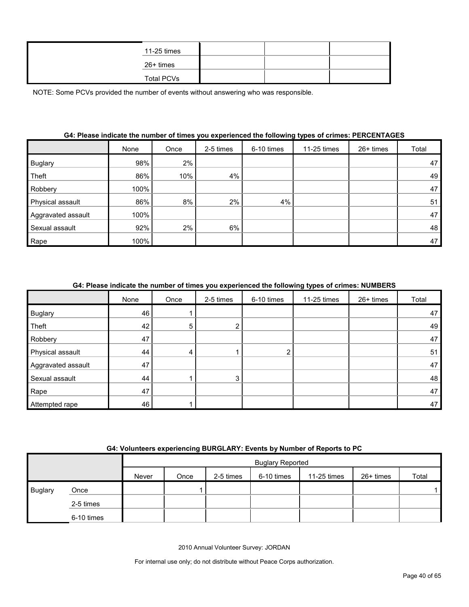| 11-25 times       |  |  |
|-------------------|--|--|
| 26+ times         |  |  |
| <b>Total PCVs</b> |  |  |

|                    | None | Once | 2-5 times | 6-10 times | 11-25 times | $26+$ times | Total |
|--------------------|------|------|-----------|------------|-------------|-------------|-------|
| <b>Buglary</b>     | 98%  | 2%   |           |            |             |             | 47    |
| Theft              | 86%  | 10%  | 4%        |            |             |             | 49    |
| Robbery            | 100% |      |           |            |             |             | 47    |
| Physical assault   | 86%  | 8%   | 2%        | 4%         |             |             | 51    |
| Aggravated assault | 100% |      |           |            |             |             | 47    |
| Sexual assault     | 92%  | 2%   | 6%        |            |             |             | 48    |
| Rape               | 100% |      |           |            |             |             | 47    |

### **G4: Please indicate the number of times you experienced the following types of crimes: PERCENTAGES**

#### **G4: Please indicate the number of times you experienced the following types of crimes: NUMBERS**

|                    | None | Once | 2-5 times | 6-10 times | 11-25 times | 26+ times | Total |
|--------------------|------|------|-----------|------------|-------------|-----------|-------|
| <b>Buglary</b>     | 46   |      |           |            |             |           | 47    |
| Theft              | 42   | 5    |           |            |             |           | 49    |
| Robbery            | 47   |      |           |            |             |           | 47    |
| Physical assault   | 44   | 4    |           |            |             |           | 51    |
| Aggravated assault | 47   |      |           |            |             |           | 47    |
| Sexual assault     | 44   |      | 3         |            |             |           | 48    |
| Rape               | 47   |      |           |            |             |           | 47    |
| Attempted rape     | 46   |      |           |            |             |           | 47    |

#### **G4: Volunteers experiencing BURGLARY: Events by Number of Reports to PC**

|                |            |       | <b>Buglary Reported</b> |           |            |             |           |       |
|----------------|------------|-------|-------------------------|-----------|------------|-------------|-----------|-------|
|                |            | Never | Once                    | 2-5 times | 6-10 times | 11-25 times | 26+ times | Total |
| <b>Buglary</b> | Once       |       |                         |           |            |             |           |       |
|                | 2-5 times  |       |                         |           |            |             |           |       |
|                | 6-10 times |       |                         |           |            |             |           |       |

2010 Annual Volunteer Survey: JORDAN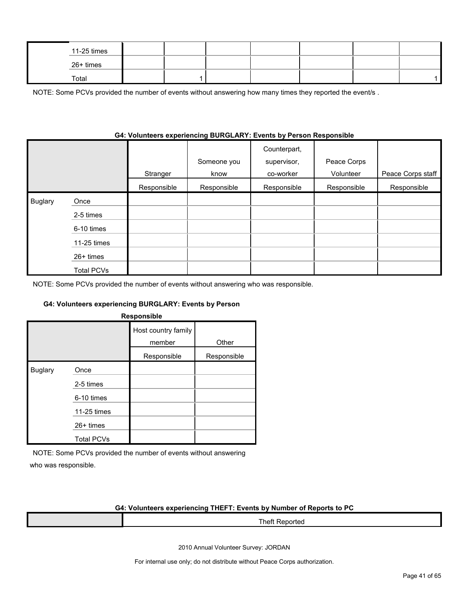|           | 11-25 times |  |  |  |  |
|-----------|-------------|--|--|--|--|
| 26+ times |             |  |  |  |  |
| Total     |             |  |  |  |  |

NOTE: Some PCVs provided the number of events without answering how many times they reported the event/s.

|                |                   | Stranger    | Someone you<br>know | Counterpart,<br>supervisor,<br>co-worker | Peace Corps<br>Volunteer | Peace Corps staff |
|----------------|-------------------|-------------|---------------------|------------------------------------------|--------------------------|-------------------|
|                |                   | Responsible | Responsible         | Responsible                              | Responsible              | Responsible       |
| <b>Buglary</b> | Once              |             |                     |                                          |                          |                   |
|                | 2-5 times         |             |                     |                                          |                          |                   |
|                | 6-10 times        |             |                     |                                          |                          |                   |
|                | 11-25 times       |             |                     |                                          |                          |                   |
|                | 26+ times         |             |                     |                                          |                          |                   |
|                | <b>Total PCVs</b> |             |                     |                                          |                          |                   |

## **G4: Volunteers experiencing BURGLARY: Events by Person Responsible**

NOTE: Some PCVs provided the number of events without answering who was responsible.

#### **G4: Volunteers experiencing BURGLARY: Events by Person**

|                |                   | <b>Responsible</b>            |             |
|----------------|-------------------|-------------------------------|-------------|
|                |                   | Host country family<br>member | Other       |
|                |                   | Responsible                   | Responsible |
| <b>Buglary</b> | Once              |                               |             |
|                | 2-5 times         |                               |             |
|                | 6-10 times        |                               |             |
|                | 11-25 times       |                               |             |
|                | $26+$ times       |                               |             |
|                | <b>Total PCVs</b> |                               |             |

NOTE: Some PCVs provided the number of events without answering who was responsible.

#### **G4: Volunteers experiencing THEFT: Events by Number of Reports to PC**

| --<br>∣hett<br>. |
|------------------|
|                  |

2010 Annual Volunteer Survey: JORDAN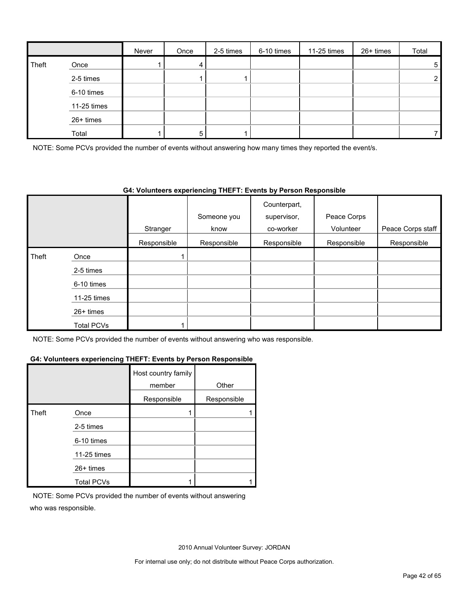|       |             | Never | Once | 2-5 times | 6-10 times | 11-25 times | 26+ times | Total          |
|-------|-------------|-------|------|-----------|------------|-------------|-----------|----------------|
| Theft | Once        |       | 4    |           |            |             |           | 5              |
|       | 2-5 times   |       |      |           |            |             |           | $\overline{2}$ |
|       | 6-10 times  |       |      |           |            |             |           |                |
|       | 11-25 times |       |      |           |            |             |           |                |
|       | $26+$ times |       |      |           |            |             |           |                |
|       | Total       |       | 5    |           |            |             |           |                |

NOTE: Some PCVs provided the number of events without answering how many times they reported the event/s.

#### **G4: Volunteers experiencing THEFT: Events by Person Responsible**

|       |             |             |             | Counterpart, |             |                   |
|-------|-------------|-------------|-------------|--------------|-------------|-------------------|
|       |             |             | Someone you | supervisor,  | Peace Corps |                   |
|       |             | Stranger    | know        | co-worker    | Volunteer   | Peace Corps staff |
|       |             | Responsible | Responsible | Responsible  | Responsible | Responsible       |
| Theft | Once        |             |             |              |             |                   |
|       | 2-5 times   |             |             |              |             |                   |
|       | 6-10 times  |             |             |              |             |                   |
|       | 11-25 times |             |             |              |             |                   |
|       | 26+ times   |             |             |              |             |                   |
|       | Total PCVs  |             |             |              |             |                   |

NOTE: Some PCVs provided the number of events without answering who was responsible.

#### **G4: Volunteers experiencing THEFT: Events by Person Responsible**

|       |                   | Host country family<br>member | Other       |
|-------|-------------------|-------------------------------|-------------|
|       |                   | Responsible                   | Responsible |
| Theft | Once              |                               |             |
|       | 2-5 times         |                               |             |
|       | 6-10 times        |                               |             |
|       | 11-25 times       |                               |             |
|       | 26+ times         |                               |             |
|       | <b>Total PCVs</b> |                               |             |

NOTE: Some PCVs provided the number of events without answering who was responsible.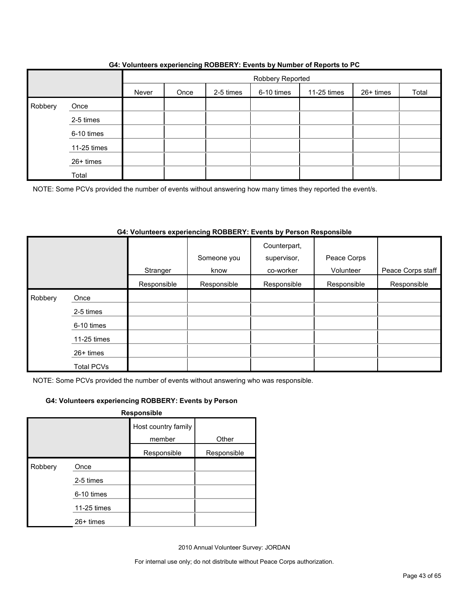|         |             |       | $\ddot{\phantom{0}}$ |                  | $\epsilon$ | . .         |           |       |
|---------|-------------|-------|----------------------|------------------|------------|-------------|-----------|-------|
|         |             |       |                      | Robbery Reported |            |             |           |       |
|         |             | Never | Once                 | 2-5 times        | 6-10 times | 11-25 times | 26+ times | Total |
| Robbery | Once        |       |                      |                  |            |             |           |       |
|         | 2-5 times   |       |                      |                  |            |             |           |       |
|         | 6-10 times  |       |                      |                  |            |             |           |       |
|         | 11-25 times |       |                      |                  |            |             |           |       |
|         | 26+ times   |       |                      |                  |            |             |           |       |
|         | Total       |       |                      |                  |            |             |           |       |

### **G4: Volunteers experiencing ROBBERY: Events by Number of Reports to PC**

NOTE: Some PCVs provided the number of events without answering how many times they reported the event/s.

### **G4: Volunteers experiencing ROBBERY: Events by Person Responsible**

|         |                   |             | Someone you | Counterpart,<br>supervisor, | Peace Corps<br>Volunteer |                   |
|---------|-------------------|-------------|-------------|-----------------------------|--------------------------|-------------------|
|         |                   | Stranger    | know        | co-worker                   |                          | Peace Corps staff |
|         |                   | Responsible | Responsible | Responsible                 | Responsible              | Responsible       |
| Robbery | Once              |             |             |                             |                          |                   |
|         | 2-5 times         |             |             |                             |                          |                   |
|         | 6-10 times        |             |             |                             |                          |                   |
|         | 11-25 times       |             |             |                             |                          |                   |
|         | 26+ times         |             |             |                             |                          |                   |
|         | <b>Total PCVs</b> |             |             |                             |                          |                   |

NOTE: Some PCVs provided the number of events without answering who was responsible.

#### **G4: Volunteers experiencing ROBBERY: Events by Person**

|         |             | <b>Responsible</b>            |             |
|---------|-------------|-------------------------------|-------------|
|         |             | Host country family<br>member | Other       |
|         |             | Responsible                   | Responsible |
| Robbery | Once        |                               |             |
|         | 2-5 times   |                               |             |
|         | 6-10 times  |                               |             |
|         | 11-25 times |                               |             |
|         | $26+$ times |                               |             |

2010 Annual Volunteer Survey: JORDAN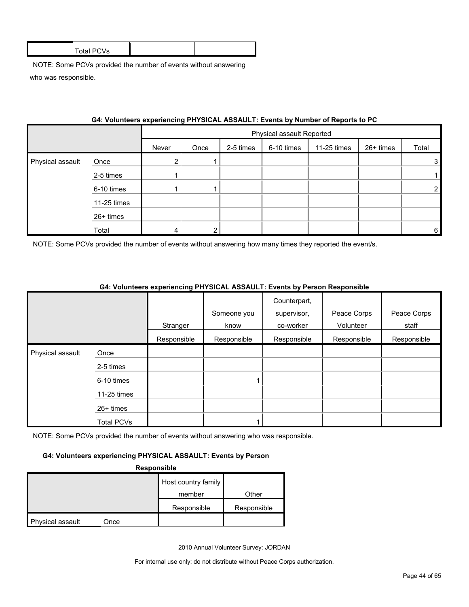| <b>Total PCVs</b> |  |
|-------------------|--|
|                   |  |
|                   |  |

|                  | 04. VOIDITIER'S EXPERIENCING FILLOIGAL ASSAULT. EVENIS BY NUMBER OF REPORTS TO FU |       |      |           |                           |             |           |                |
|------------------|-----------------------------------------------------------------------------------|-------|------|-----------|---------------------------|-------------|-----------|----------------|
|                  |                                                                                   |       |      |           | Physical assault Reported |             |           |                |
|                  |                                                                                   | Never | Once | 2-5 times | 6-10 times                | 11-25 times | 26+ times | Total          |
| Physical assault | Once                                                                              |       |      |           |                           |             |           | 3              |
|                  | 2-5 times                                                                         |       |      |           |                           |             |           |                |
|                  | 6-10 times                                                                        |       |      |           |                           |             |           | $\overline{2}$ |
|                  | 11-25 times                                                                       |       |      |           |                           |             |           |                |
|                  | 26+ times                                                                         |       |      |           |                           |             |           |                |
|                  | Total                                                                             |       |      |           |                           |             |           | $6 \mid$       |

## **G4: Volunteers experiencing PHYSICAL ASSAULT: Events by Number of Reports to PC**

NOTE: Some PCVs provided the number of events without answering how many times they reported the event/s.

|                  |                   | Stranger    | Someone you<br>know | Counterpart,<br>supervisor,<br>co-worker | Peace Corps<br>Volunteer | Peace Corps<br>staff |
|------------------|-------------------|-------------|---------------------|------------------------------------------|--------------------------|----------------------|
|                  |                   | Responsible | Responsible         | Responsible                              | Responsible              | Responsible          |
| Physical assault | Once              |             |                     |                                          |                          |                      |
|                  | 2-5 times         |             |                     |                                          |                          |                      |
|                  | 6-10 times        |             |                     |                                          |                          |                      |
|                  | 11-25 times       |             |                     |                                          |                          |                      |
|                  | 26+ times         |             |                     |                                          |                          |                      |
|                  | <b>Total PCVs</b> |             |                     |                                          |                          |                      |

### **G4: Volunteers experiencing PHYSICAL ASSAULT: Events by Person Responsible**

NOTE: Some PCVs provided the number of events without answering who was responsible.

#### **G4: Volunteers experiencing PHYSICAL ASSAULT: Events by Person**

#### **Responsible**

|                         |      | Host country family |             |
|-------------------------|------|---------------------|-------------|
|                         |      | member              | Other       |
|                         |      | Responsible         | Responsible |
| <b>Physical assault</b> | Once |                     |             |

2010 Annual Volunteer Survey: JORDAN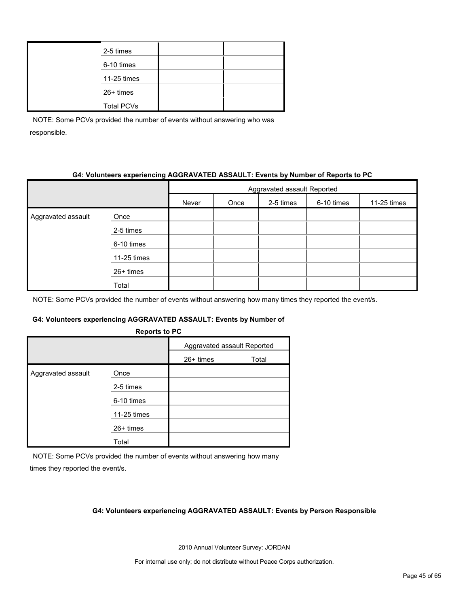| 2-5 times         |  |
|-------------------|--|
| 6-10 times        |  |
| 11-25 times       |  |
| 26+ times         |  |
| <b>Total PCVs</b> |  |

## **G4: Volunteers experiencing AGGRAVATED ASSAULT: Events by Number of Reports to PC**

|                    |             | Aggravated assault Reported |      |           |            |             |  |  |
|--------------------|-------------|-----------------------------|------|-----------|------------|-------------|--|--|
|                    |             | Never                       | Once | 2-5 times | 6-10 times | 11-25 times |  |  |
| Aggravated assault | Once        |                             |      |           |            |             |  |  |
|                    | 2-5 times   |                             |      |           |            |             |  |  |
|                    | 6-10 times  |                             |      |           |            |             |  |  |
|                    | 11-25 times |                             |      |           |            |             |  |  |
|                    | 26+ times   |                             |      |           |            |             |  |  |
|                    | Total       |                             |      |           |            |             |  |  |

NOTE: Some PCVs provided the number of events without answering how many times they reported the event/s.

#### **G4: Volunteers experiencing AGGRAVATED ASSAULT: Events by Number of**

|             | Aggravated assault Reported |                      |  |
|-------------|-----------------------------|----------------------|--|
|             | 26+ times                   | Total                |  |
| Once        |                             |                      |  |
| 2-5 times   |                             |                      |  |
| 6-10 times  |                             |                      |  |
| 11-25 times |                             |                      |  |
| $26+$ times |                             |                      |  |
| Total       |                             |                      |  |
|             |                             | <b>INGPUTS IN FV</b> |  |

**Reports to PC**

NOTE: Some PCVs provided the number of events without answering how many

times they reported the event/s.

#### **G4: Volunteers experiencing AGGRAVATED ASSAULT: Events by Person Responsible**

2010 Annual Volunteer Survey: JORDAN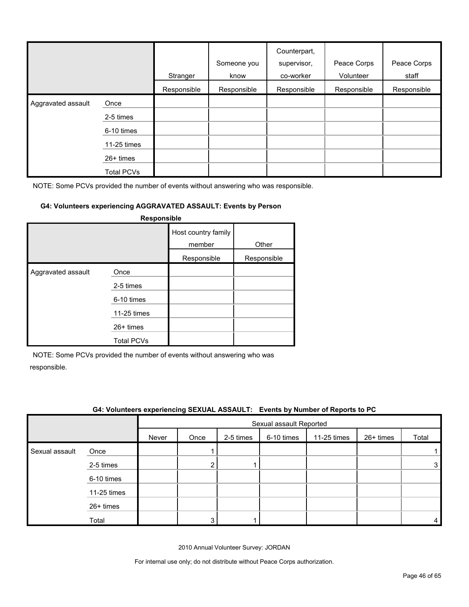|                    |             | Stranger    | Someone you<br>know | Counterpart,<br>supervisor,<br>co-worker | Peace Corps<br>Volunteer | Peace Corps<br>staff |
|--------------------|-------------|-------------|---------------------|------------------------------------------|--------------------------|----------------------|
|                    |             | Responsible | Responsible         | Responsible                              | Responsible              | Responsible          |
| Aggravated assault | Once        |             |                     |                                          |                          |                      |
|                    | 2-5 times   |             |                     |                                          |                          |                      |
|                    | 6-10 times  |             |                     |                                          |                          |                      |
|                    | 11-25 times |             |                     |                                          |                          |                      |
|                    | $26+$ times |             |                     |                                          |                          |                      |
|                    | Total PCVs  |             |                     |                                          |                          |                      |

### **G4: Volunteers experiencing AGGRAVATED ASSAULT: Events by Person**

| Responsible        |                   |                               |             |  |  |  |  |  |
|--------------------|-------------------|-------------------------------|-------------|--|--|--|--|--|
|                    |                   | Host country family<br>member | Other       |  |  |  |  |  |
|                    |                   | Responsible                   | Responsible |  |  |  |  |  |
| Aggravated assault | Once<br>2-5 times |                               |             |  |  |  |  |  |
|                    | 6-10 times        |                               |             |  |  |  |  |  |
|                    | 11-25 times       |                               |             |  |  |  |  |  |
|                    | $26+$ times       |                               |             |  |  |  |  |  |
|                    | <b>Total PCVs</b> |                               |             |  |  |  |  |  |

NOTE: Some PCVs provided the number of events without answering who was responsible.

|                |             |       |      |           |                         | G4: Volunteers experiencing SEXUAL ASSAULT: Events by Number of Reports to PC |             |       |
|----------------|-------------|-------|------|-----------|-------------------------|-------------------------------------------------------------------------------|-------------|-------|
|                |             |       |      |           | Sexual assault Reported |                                                                               |             |       |
|                |             | Never | Once | 2-5 times | 6-10 times              | 11-25 times                                                                   | $26+$ times | Total |
| Sexual assault | Once        |       |      |           |                         |                                                                               |             |       |
|                | 2-5 times   |       | ົ    |           |                         |                                                                               |             | 3     |
|                | 6-10 times  |       |      |           |                         |                                                                               |             |       |
|                | 11-25 times |       |      |           |                         |                                                                               |             |       |
|                | $26+$ times |       |      |           |                         |                                                                               |             |       |
|                | Total       |       | ົ    |           |                         |                                                                               |             | 4     |

2010 Annual Volunteer Survey: JORDAN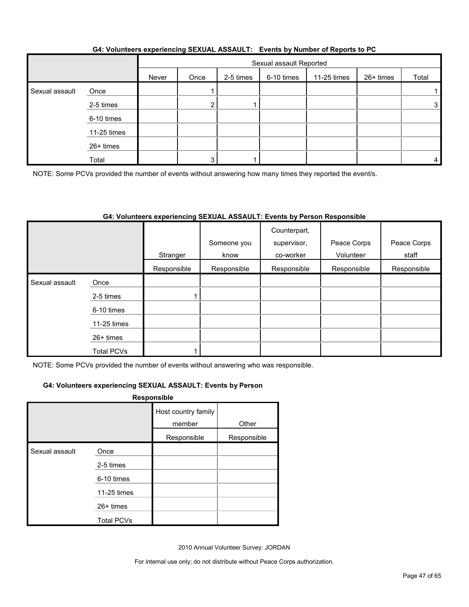|                |             |       | Sexual assault Reported |           |            |             |           |                |  |  |
|----------------|-------------|-------|-------------------------|-----------|------------|-------------|-----------|----------------|--|--|
|                |             | Never | Once                    | 2-5 times | 6-10 times | 11-25 times | 26+ times | Total          |  |  |
| Sexual assault | Once        |       |                         |           |            |             |           |                |  |  |
|                | 2-5 times   |       | ◠                       |           |            |             |           | 3 <sub>1</sub> |  |  |
|                | 6-10 times  |       |                         |           |            |             |           |                |  |  |
|                | 11-25 times |       |                         |           |            |             |           |                |  |  |
|                | 26+ times   |       |                         |           |            |             |           |                |  |  |
|                | Total       |       |                         |           |            |             |           | 4              |  |  |

### **G4: Volunteers experiencing SEXUAL ASSAULT: Events by Number of Reports to PC**

NOTE: Some PCVs provided the number of events without answering how many times they reported the event/s.

### **G4: Volunteers experiencing SEXUAL ASSAULT: Events by Person Responsible**

|                |                   | Stranger    | Someone you<br>know | Counterpart,<br>supervisor,<br>co-worker | Peace Corps<br>Volunteer | Peace Corps<br>staff |
|----------------|-------------------|-------------|---------------------|------------------------------------------|--------------------------|----------------------|
|                |                   | Responsible | Responsible         | Responsible                              | Responsible              | Responsible          |
| Sexual assault | Once              |             |                     |                                          |                          |                      |
|                | 2-5 times         |             |                     |                                          |                          |                      |
|                | 6-10 times        |             |                     |                                          |                          |                      |
|                | $11-25$ times     |             |                     |                                          |                          |                      |
|                | $26+$ times       |             |                     |                                          |                          |                      |
|                | <b>Total PCVs</b> |             |                     |                                          |                          |                      |

NOTE: Some PCVs provided the number of events without answering who was responsible.

#### **G4: Volunteers experiencing SEXUAL ASSAULT: Events by Person**

| Responsible |
|-------------|
|-------------|

|                |                   | Host country family<br>member<br>Responsible | Other<br>Responsible |
|----------------|-------------------|----------------------------------------------|----------------------|
|                |                   |                                              |                      |
| Sexual assault | Once              |                                              |                      |
|                | 2-5 times         |                                              |                      |
|                | 6-10 times        |                                              |                      |
|                | 11-25 times       |                                              |                      |
|                | 26+ times         |                                              |                      |
|                | <b>Total PCVs</b> |                                              |                      |

2010 Annual Volunteer Survey: JORDAN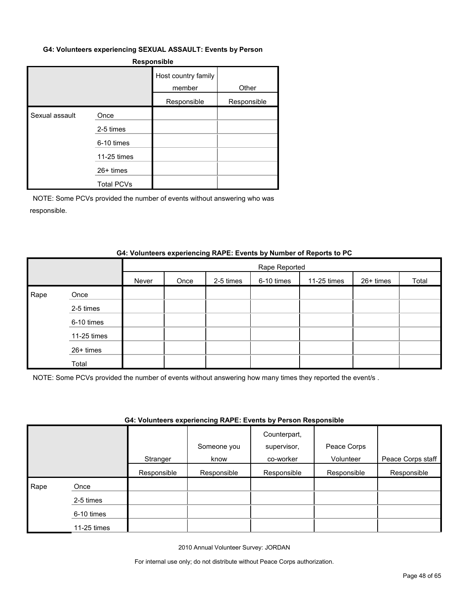#### **G4: Volunteers experiencing SEXUAL ASSAULT: Events by Person**

#### **Responsible**

|                |                   | Host country family<br>member | Other       |
|----------------|-------------------|-------------------------------|-------------|
|                |                   | Responsible                   | Responsible |
| Sexual assault | Once              |                               |             |
|                | 2-5 times         |                               |             |
|                | 6-10 times        |                               |             |
|                | 11-25 times       |                               |             |
|                | $26+$ times       |                               |             |
|                | <b>Total PCVs</b> |                               |             |

NOTE: Some PCVs provided the number of events without answering who was responsible.

#### **G4: Volunteers experiencing RAPE: Events by Number of Reports to PC**

|      |             |       | Rape Reported |           |            |             |           |       |  |
|------|-------------|-------|---------------|-----------|------------|-------------|-----------|-------|--|
|      |             | Never | Once          | 2-5 times | 6-10 times | 11-25 times | 26+ times | Total |  |
| Rape | Once        |       |               |           |            |             |           |       |  |
|      | 2-5 times   |       |               |           |            |             |           |       |  |
|      | 6-10 times  |       |               |           |            |             |           |       |  |
|      | 11-25 times |       |               |           |            |             |           |       |  |
|      | 26+ times   |       |               |           |            |             |           |       |  |
|      | Total       |       |               |           |            |             |           |       |  |

NOTE: Some PCVs provided the number of events without answering how many times they reported the event/s .

#### **G4: Volunteers experiencing RAPE: Events by Person Responsible**

|      |               |             | Someone you | Counterpart,<br>supervisor, | Peace Corps |                   |
|------|---------------|-------------|-------------|-----------------------------|-------------|-------------------|
|      |               | Stranger    | know        | co-worker                   | Volunteer   | Peace Corps staff |
|      |               | Responsible | Responsible | Responsible                 | Responsible | Responsible       |
| Rape | Once          |             |             |                             |             |                   |
|      | 2-5 times     |             |             |                             |             |                   |
|      | 6-10 times    |             |             |                             |             |                   |
|      | $11-25$ times |             |             |                             |             |                   |

2010 Annual Volunteer Survey: JORDAN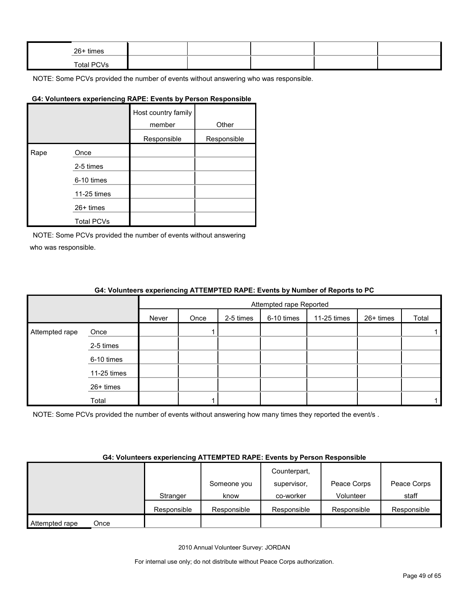| 26+ times  |  |  |  |
|------------|--|--|--|
| Total PCVs |  |  |  |

#### **G4: Volunteers experiencing RAPE: Events by Person Responsible**

|      |                   | Host country family<br>member | Other       |
|------|-------------------|-------------------------------|-------------|
|      |                   | Responsible                   | Responsible |
| Rape | Once              |                               |             |
|      | 2-5 times         |                               |             |
|      | 6-10 times        |                               |             |
|      | 11-25 times       |                               |             |
|      | 26+ times         |                               |             |
|      | <b>Total PCVs</b> |                               |             |

NOTE: Some PCVs provided the number of events without answering who was responsible.

|                |             |       | Attempted rape Reported |           |            |             |           |       |
|----------------|-------------|-------|-------------------------|-----------|------------|-------------|-----------|-------|
|                |             | Never | Once                    | 2-5 times | 6-10 times | 11-25 times | 26+ times | Total |
| Attempted rape | Once        |       |                         |           |            |             |           |       |
|                | 2-5 times   |       |                         |           |            |             |           |       |
|                | 6-10 times  |       |                         |           |            |             |           |       |
|                | 11-25 times |       |                         |           |            |             |           |       |
|                | 26+ times   |       |                         |           |            |             |           |       |
|                | Total       |       |                         |           |            |             |           |       |

NOTE: Some PCVs provided the number of events without answering how many times they reported the event/s.

#### **G4: Volunteers experiencing ATTEMPTED RAPE: Events by Person Responsible**

|                |      |             | Someone you | Counterpart,<br>supervisor, | Peace Corps | Peace Corps |
|----------------|------|-------------|-------------|-----------------------------|-------------|-------------|
|                |      | Stranger    | know        | co-worker                   | Volunteer   | staff       |
|                |      | Responsible | Responsible | Responsible                 | Responsible | Responsible |
| Attempted rape | Once |             |             |                             |             |             |

2010 Annual Volunteer Survey: JORDAN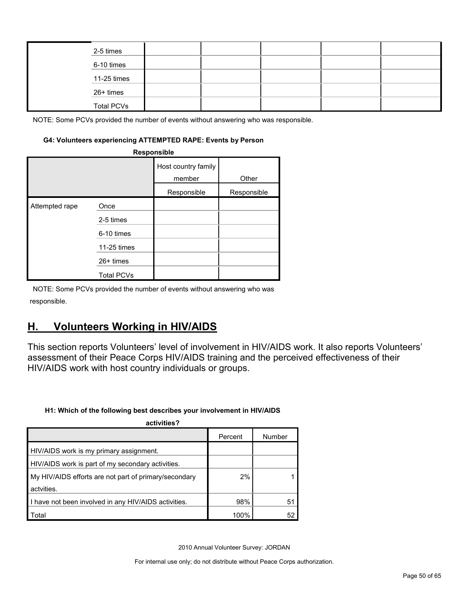| 2-5 times         |  |  |  |
|-------------------|--|--|--|
| 6-10 times        |  |  |  |
| 11-25 times       |  |  |  |
| 26+ times         |  |  |  |
| <b>Total PCVs</b> |  |  |  |

#### **G4: Volunteers experiencing ATTEMPTED RAPE: Events by Person**

|                | Responsible       |                               |             |
|----------------|-------------------|-------------------------------|-------------|
|                |                   | Host country family<br>member | Other       |
|                |                   | Responsible                   | Responsible |
| Attempted rape | Once              |                               |             |
|                | 2-5 times         |                               |             |
|                | 6-10 times        |                               |             |
|                | 11-25 times       |                               |             |
|                | $26+$ times       |                               |             |
|                | <b>Total PCVs</b> |                               |             |

NOTE: Some PCVs provided the number of events without answering who was responsible.

## <span id="page-49-0"></span>**H. Volunteers Working in HIV/AIDS**

This section reports Volunteers' level of involvement in HIV/AIDS work. It also reports Volunteers' assessment of their Peace Corps HIV/AIDS training and the perceived effectiveness of their HIV/AIDS work with host country individuals or groups.

#### **H1: Which of the following best describes your involvement in HIV/AIDS**

| activities?                                           |         |        |
|-------------------------------------------------------|---------|--------|
|                                                       | Percent | Number |
| HIV/AIDS work is my primary assignment.               |         |        |
| HIV/AIDS work is part of my secondary activities.     |         |        |
| My HIV/AIDS efforts are not part of primary/secondary | 2%      |        |
| actvities.                                            |         |        |
| I have not been involved in any HIV/AIDS activities.  | 98%     | 51     |
| Total                                                 | 100%    | 52     |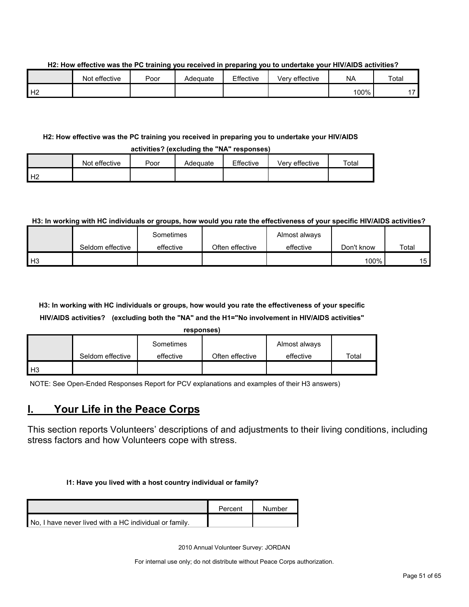#### **H2: How effective was the PC training you received in preparing you to undertake your HIV/AIDS activities?**

|                | Not effective | Poor | Adeɑuate | Effective | Very effective | <b>NA</b> | Total                    |
|----------------|---------------|------|----------|-----------|----------------|-----------|--------------------------|
| H <sub>2</sub> |               |      |          |           |                | 100%      | $\overline{\phantom{a}}$ |

### **H2: How effective was the PC training you received in preparing you to undertake your HIV/AIDS**

|    |               |      | activities? (excluding the "NA" responses) |           |                |       |
|----|---------------|------|--------------------------------------------|-----------|----------------|-------|
|    | Not effective | Poor | Adequate                                   | Effective | Verv effective | Total |
| H2 |               |      |                                            |           |                |       |

### **H3: In working with HC individuals or groups, how would you rate the effectiveness of your specific HIV/AIDS activities?**

|                |                  | Sometimes |                 | Almost always |            |       |
|----------------|------------------|-----------|-----------------|---------------|------------|-------|
|                | Seldom effective | effective | Often effective | effective     | Don't know | Total |
| H <sub>3</sub> |                  |           |                 |               | 100%       | 15    |

## **H3: In working with HC individuals or groups, how would you rate the effectiveness of your specific HIV/AIDS activities? (excluding both the "NA" and the H1="No involvement in HIV/AIDS activities"**

| responses |
|-----------|
|-----------|

|      |                  | Sometimes |                 | Almost always |       |
|------|------------------|-----------|-----------------|---------------|-------|
|      | Seldom effective | effective | Often effective | effective     | ⊤otal |
| l H3 |                  |           |                 |               |       |

NOTE: See Open-Ended Responses Report for PCV explanations and examples of their H3 answers)

## <span id="page-50-0"></span>**I. Your Life in the Peace Corps**

This section reports Volunteers' descriptions of and adjustments to their living conditions, including stress factors and how Volunteers cope with stress.

#### **I1: Have you lived with a host country individual or family?**

|                                                        | Percent | Number |
|--------------------------------------------------------|---------|--------|
| No. I have never lived with a HC individual or family. |         |        |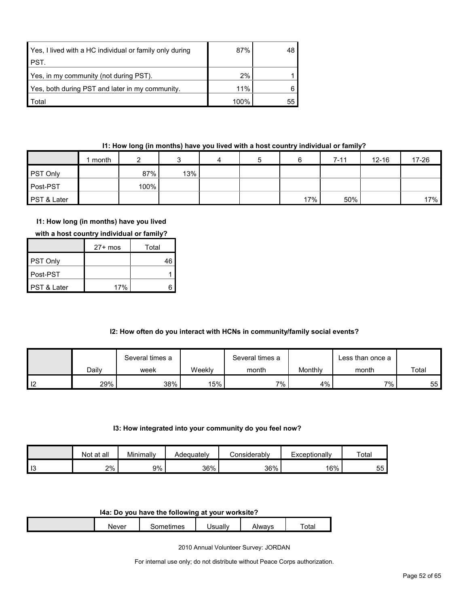| Yes, I lived with a HC individual or family only during | 87%  | 48 |
|---------------------------------------------------------|------|----|
| PST.                                                    |      |    |
| Yes, in my community (not during PST).                  | 2%   |    |
| Yes, both during PST and later in my community.         | 11%  |    |
| Total                                                   | 100% | 55 |

## **I1: How long (in months) have you lived with a host country individual or family?**

|                 | month |      |     | 4 | b |     | $7 - 11$ | $12 - 16$ | 17-26 |
|-----------------|-------|------|-----|---|---|-----|----------|-----------|-------|
| <b>PST Only</b> |       | 87%  | 13% |   |   |     |          |           |       |
| Post-PST        |       | 100% |     |   |   |     |          |           |       |
| PST & Later     |       |      |     |   |   | 17% | 50%      |           | 17%   |

## **I1: How long (in months) have you lived**

|                        | $27+$ mos | Total |
|------------------------|-----------|-------|
| PST Only               |           | 46    |
| ∎Post-PST              |           |       |
| <b>PST &amp; Later</b> | 17%       |       |

## **I2: How often do you interact with HCNs in community/family social events?**

|                |       | Several times a |        | Several times a |         | ∟ess than once a |       |
|----------------|-------|-----------------|--------|-----------------|---------|------------------|-------|
|                | Daily | week            | Weekly | month           | Monthly | month            | Total |
| $\blacksquare$ | 29%   | 38%             | 15%    | $7\%$ ,         | $4\%$   | $7\%$            | 55    |

#### **I3: How integrated into your community do you feel now?**

|                       | at all<br>Not. | Minimally | Adequatelv | Considerably | Exceptionally | Total |
|-----------------------|----------------|-----------|------------|--------------|---------------|-------|
| $\overline{10}$<br>10 | 2%             | 9%        | 36%        | 36%          | 16%           | 55    |

#### **I4a: Do you have the following at your worksite?**

| <b>Never</b> | - ---<br>mes<br>⊶பட | Jsuall∗ | \lwavs<br>71 V V | $\overline{\phantom{0}}$<br>otal |
|--------------|---------------------|---------|------------------|----------------------------------|
|              |                     |         |                  |                                  |

2010 Annual Volunteer Survey: JORDAN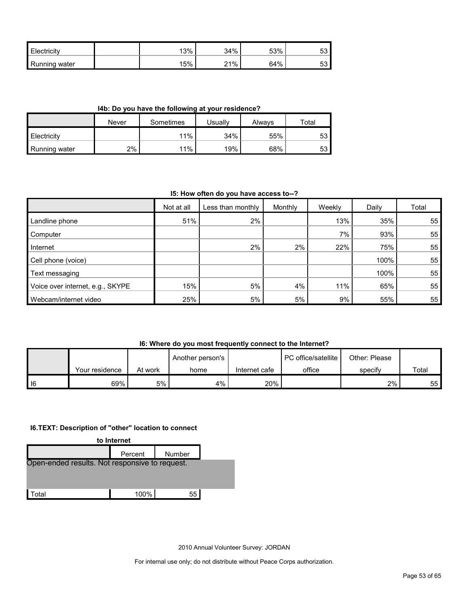| <b>Electricity</b> | 13% | 34% | 53% | Ju |
|--------------------|-----|-----|-----|----|
| Running<br>ı water | 15% | 21% | 64% | vu |

**I4b: Do you have the following at your residence?**

|                      | Never | Sometimes | Jsually | Alwavs | Total |  |
|----------------------|-------|-----------|---------|--------|-------|--|
| <b>Electricity</b>   |       | 11%       | 34%     | 55%    | 53    |  |
| <b>Running water</b> | 2%    | 11%       | 19%     | 68%    | 53    |  |

#### **I5: How often do you have access to--?**

|                                  | Not at all | Less than monthly | Monthly | Weekly | Daily | Total |
|----------------------------------|------------|-------------------|---------|--------|-------|-------|
| Landline phone                   | 51%        | 2%                |         | 13%    | 35%   | 55    |
| Computer                         |            |                   |         | 7%     | 93%   | 55    |
| Internet                         |            | 2%                | 2%      | 22%    | 75%   | 55    |
| Cell phone (voice)               |            |                   |         |        | 100%  | 55    |
| Text messaging                   |            |                   |         |        | 100%  | 55    |
| Voice over internet, e.g., SKYPE | 15%        | 5%                | 4%      | 11%    | 65%   | 55    |
| Webcam/internet video            | 25%        | 5%                | 5%      | 9%     | 55%   | 55    |

## **I6: Where do you most frequently connect to the Internet?**

|        |                |         | Another person's |               | PC office/satellite | Other: Please |       |
|--------|----------------|---------|------------------|---------------|---------------------|---------------|-------|
|        | Your residence | At work | home             | Internet cafe | office              | specify       | Total |
| $ $ 16 | 69%            | 5%      | 4%               | 20%           |                     | 2%            | 55 I  |

## **I6.TEXT: Description of "other" location to connect**



2010 Annual Volunteer Survey: JORDAN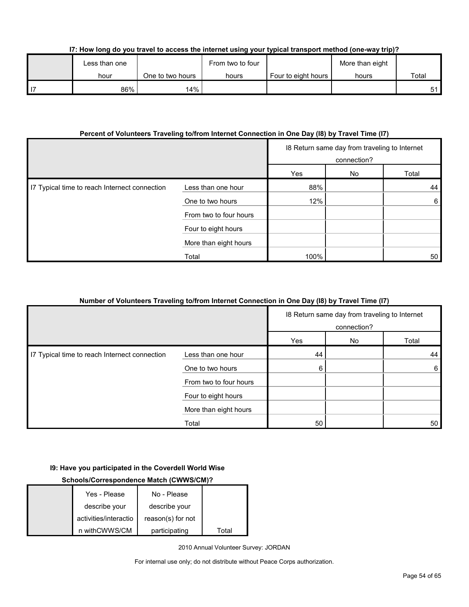|  | I7: How long do you travel to access the internet using your typical transport method (one-way trip)? |  |  |  |  |  |
|--|-------------------------------------------------------------------------------------------------------|--|--|--|--|--|
|  |                                                                                                       |  |  |  |  |  |

| Less than one |                  | From two to four |                     | More than eight |       |
|---------------|------------------|------------------|---------------------|-----------------|-------|
| hour          | One to two hours | hours            | Four to eight hours | hours           | Total |
| 86%           | 14%              |                  |                     |                 | 51    |

### **Percent of Volunteers Traveling to/from Internet Connection in One Day (I8) by Travel Time (I7)**

|                                               |                        | 18 Return same day from traveling to Internet<br>connection? |    |       |
|-----------------------------------------------|------------------------|--------------------------------------------------------------|----|-------|
|                                               |                        | Yes                                                          | No | Total |
| I7 Typical time to reach Internect connection | Less than one hour     | 88%                                                          |    | 44    |
|                                               | One to two hours       | 12%                                                          |    | 6     |
|                                               | From two to four hours |                                                              |    |       |
|                                               | Four to eight hours    |                                                              |    |       |
|                                               | More than eight hours  |                                                              |    |       |
|                                               | Total                  | 100%                                                         |    | 50    |

## **Number of Volunteers Traveling to/from Internet Connection in One Day (I8) by Travel Time (I7)**

|                                               |                        | 18 Return same day from traveling to Internet<br>connection? |    |       |
|-----------------------------------------------|------------------------|--------------------------------------------------------------|----|-------|
|                                               |                        | Yes                                                          | No | Total |
| I7 Typical time to reach Internect connection | Less than one hour     | 44                                                           |    | 44    |
|                                               | One to two hours       | 6                                                            |    | 6     |
|                                               | From two to four hours |                                                              |    |       |
|                                               | Four to eight hours    |                                                              |    |       |
|                                               | More than eight hours  |                                                              |    |       |
|                                               | Total                  | 50                                                           |    | 50    |

## **I9: Have you participated in the Coverdell World Wise**

## **Schools/Correspondence Match (CWWS/CM)?**

| Yes - Please          | No - Please       |       |
|-----------------------|-------------------|-------|
| describe your         | describe your     |       |
| activities/interactio | reason(s) for not |       |
| n withCWWS/CM         | participating     | Total |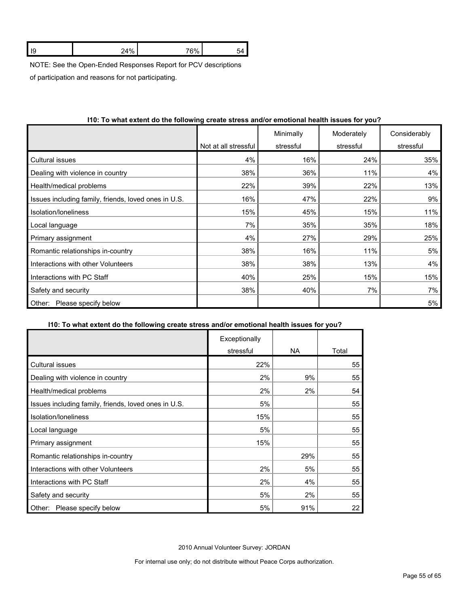| ιz | 0.107<br> | 76% |  |
|----|-----------|-----|--|
|    |           |     |  |

NOTE: See the Open-Ended Responses Report for PCV descriptions

of participation and reasons for not participating.

|                                                      |                      | Minimally | Moderately | Considerably |
|------------------------------------------------------|----------------------|-----------|------------|--------------|
|                                                      | Not at all stressful | stressful | stressful  | stressful    |
| <b>Cultural issues</b>                               | 4%                   | 16%       | 24%        | 35%          |
| Dealing with violence in country                     | 38%                  | 36%       | 11%        | 4%           |
| Health/medical problems                              | 22%                  | 39%       | 22%        | 13%          |
| Issues including family, friends, loved ones in U.S. | 16%                  | 47%       | 22%        | 9%           |
| Isolation/loneliness                                 | 15%                  | 45%       | 15%        | 11%          |
| Local language                                       | 7%                   | 35%       | 35%        | 18%          |
| Primary assignment                                   | 4%                   | 27%       | 29%        | 25%          |
| Romantic relationships in-country                    | 38%                  | 16%       | 11%        | 5%           |
| Interactions with other Volunteers                   | 38%                  | 38%       | 13%        | 4%           |
| Interactions with PC Staff                           | 40%                  | 25%       | 15%        | 15%          |
| Safety and security                                  | 38%                  | 40%       | 7%         | 7%           |
| Please specify below<br>Other:                       |                      |           |            | 5%           |

## **I10: To what extent do the following create stress and/or emotional health issues for you?**

#### **I10: To what extent do the following create stress and/or emotional health issues for you?**

|                                                      | Exceptionally |     |       |
|------------------------------------------------------|---------------|-----|-------|
|                                                      | stressful     | NA. | Total |
| Cultural issues                                      | 22%           |     | 55    |
| Dealing with violence in country                     | 2%            | 9%  | 55    |
| Health/medical problems                              | 2%            | 2%  | 54    |
| Issues including family, friends, loved ones in U.S. | 5%            |     | 55    |
| Isolation/loneliness                                 | 15%           |     | 55    |
| Local language                                       | 5%            |     | 55    |
| Primary assignment                                   | 15%           |     | 55    |
| Romantic relationships in-country                    |               | 29% | 55    |
| Interactions with other Volunteers                   | 2%            | 5%  | 55    |
| Interactions with PC Staff                           | 2%            | 4%  | 55    |
| Safety and security                                  | 5%            | 2%  | 55    |
| Please specify below<br>Other:                       | 5%            | 91% | 22    |

2010 Annual Volunteer Survey: JORDAN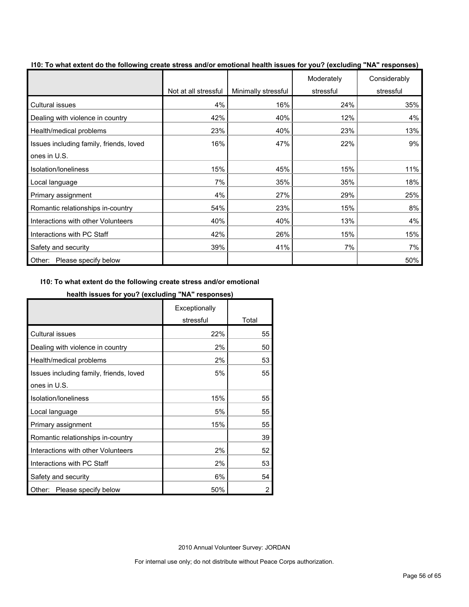|                                         | Not at all stressful | Minimally stressful | Moderately<br>stressful | Considerably<br>stressful |
|-----------------------------------------|----------------------|---------------------|-------------------------|---------------------------|
| <b>Cultural issues</b>                  | 4%                   | 16%                 | 24%                     | 35%                       |
| Dealing with violence in country        | 42%                  | 40%                 | 12%                     | 4%                        |
| Health/medical problems                 | 23%                  | 40%                 | 23%                     | 13%                       |
| Issues including family, friends, loved | 16%                  | 47%                 | 22%                     | 9%                        |
| ones in U.S.                            |                      |                     |                         |                           |
| Isolation/Ioneliness                    | 15%                  | 45%                 | 15%                     | 11%                       |
| Local language                          | 7%                   | 35%                 | 35%                     | 18%                       |
| Primary assignment                      | 4%                   | 27%                 | 29%                     | 25%                       |
| Romantic relationships in-country       | 54%                  | 23%                 | 15%                     | 8%                        |
| Interactions with other Volunteers      | 40%                  | 40%                 | 13%                     | 4%                        |
| Interactions with PC Staff              | 42%                  | 26%                 | 15%                     | 15%                       |
| Safety and security                     | 39%                  | 41%                 | 7%                      | 7%                        |
| Please specify below<br>Other:          |                      |                     |                         | 50%                       |

**I10: To what extent do the following create stress and/or emotional health issues for you? (excluding "NA" responses)**

## **I10: To what extent do the following create stress and/or emotional**

### **health issues for you? (excluding "NA" responses)**

|                                         | Exceptionally |       |
|-----------------------------------------|---------------|-------|
|                                         | stressful     | Total |
| <b>Cultural issues</b>                  | 22%           | 55    |
| Dealing with violence in country        | 2%            | 50    |
| Health/medical problems                 | 2%            | 53    |
| Issues including family, friends, loved | 5%            | 55    |
| ones in U.S.                            |               |       |
| Isolation/loneliness                    | 15%           | 55    |
| Local language                          | 5%            | 55    |
| Primary assignment                      | 15%           | 55    |
| Romantic relationships in-country       |               | 39    |
| Interactions with other Volunteers      | 2%            | 52    |
| Interactions with PC Staff              | 2%            | 53    |
| Safety and security                     | 6%            | 54    |
| Please specify below<br>Other:          | 50%           | 2     |

2010 Annual Volunteer Survey: JORDAN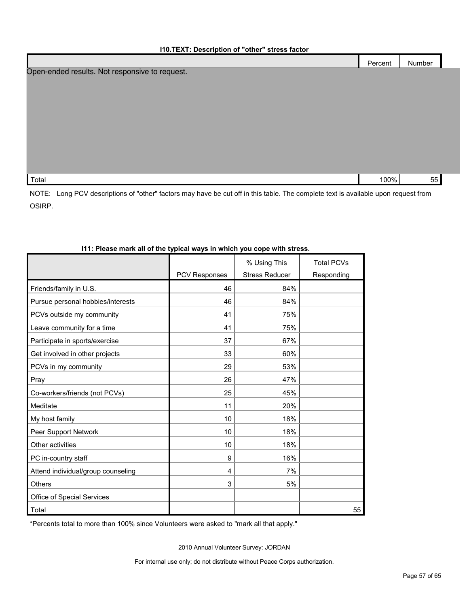|                                                | Percent | Number |  |
|------------------------------------------------|---------|--------|--|
| Open-ended results. Not responsive to request. |         |        |  |
|                                                |         |        |  |
|                                                |         |        |  |
|                                                |         |        |  |
|                                                |         |        |  |
|                                                |         |        |  |
|                                                |         |        |  |
|                                                |         |        |  |
| Total                                          | 100%    | 55     |  |

NOTE: Long PCV descriptions of "other" factors may have be cut off in this table. The complete text is available upon request from OSIRP.

|                                    |               | % Using This          | <b>Total PCVs</b> |
|------------------------------------|---------------|-----------------------|-------------------|
|                                    | PCV Responses | <b>Stress Reducer</b> | Responding        |
| Friends/family in U.S.             | 46            | 84%                   |                   |
| Pursue personal hobbies/interests  | 46            | 84%                   |                   |
| PCVs outside my community          | 41            | 75%                   |                   |
| Leave community for a time         | 41            | 75%                   |                   |
| Participate in sports/exercise     | 37            | 67%                   |                   |
| Get involved in other projects     | 33            | 60%                   |                   |
| PCVs in my community               | 29            | 53%                   |                   |
| Pray                               | 26            | 47%                   |                   |
| Co-workers/friends (not PCVs)      | 25            | 45%                   |                   |
| Meditate                           | 11            | 20%                   |                   |
| My host family                     | 10            | 18%                   |                   |
| Peer Support Network               | 10            | 18%                   |                   |
| Other activities                   | 10            | 18%                   |                   |
| PC in-country staff                | 9             | 16%                   |                   |
| Attend individual/group counseling | 4             | 7%                    |                   |
| Others                             | 3             | 5%                    |                   |
| Office of Special Services         |               |                       |                   |
| Total                              |               |                       | 55                |
|                                    |               |                       |                   |

### **I11: Please mark all of the typical ways in which you cope with stress.**

\*Percents total to more than 100% since Volunteers were asked to "mark all that apply."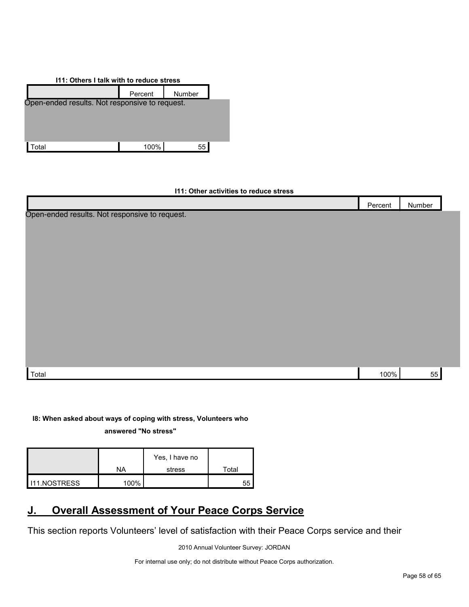| 111: Others I talk with to reduce stress       |         |        |  |  |  |  |
|------------------------------------------------|---------|--------|--|--|--|--|
|                                                | Percent | Number |  |  |  |  |
| Open-ended results. Not responsive to request. |         |        |  |  |  |  |
|                                                |         |        |  |  |  |  |
|                                                |         |        |  |  |  |  |
|                                                |         |        |  |  |  |  |
| otal                                           | 100%    | 55     |  |  |  |  |

### **I11: Other activities to reduce stress**

|                                                | Percent | Number |  |
|------------------------------------------------|---------|--------|--|
| Open-ended results. Not responsive to request. |         |        |  |
|                                                |         |        |  |
|                                                |         |        |  |
|                                                |         |        |  |
|                                                |         |        |  |
|                                                |         |        |  |
|                                                |         |        |  |
|                                                |         |        |  |
|                                                |         |        |  |
|                                                |         |        |  |
|                                                |         |        |  |
| Total                                          | 100%    | 55     |  |

## **I8: When asked about ways of coping with stress, Volunteers who**

**answered "No stress"** 

|                       |      | Yes, I have no |       |
|-----------------------|------|----------------|-------|
|                       | NA   | stress         | Total |
| <b>I</b> I11.NOSTRESS | 100% |                | 55    |

## <span id="page-57-0"></span>**J. Overall Assessment of Your Peace Corps Service**

This section reports Volunteers' level of satisfaction with their Peace Corps service and their

2010 Annual Volunteer Survey: JORDAN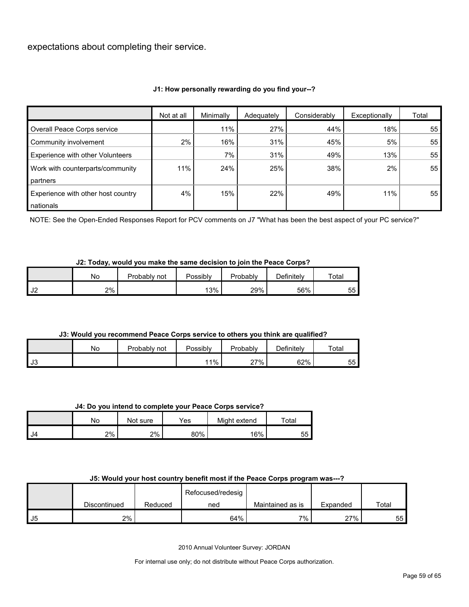expectations about completing their service.

## **J1: How personally rewarding do you find your--?**

|                                    | Not at all | Minimally | Adequately | Considerably | Exceptionally | Total |
|------------------------------------|------------|-----------|------------|--------------|---------------|-------|
| Overall Peace Corps service        |            | 11%       | 27%        | 44%          | 18%           | 55    |
| Community involvement              | 2%         | 16%       | 31%        | 45%          | 5%            | 55    |
| Experience with other Volunteers   |            | 7%        | 31%        | 49%          | 13%           | 55    |
| Work with counterparts/community   | 11%        | 24%       | 25%        | 38%          | 2%            | 55    |
| partners                           |            |           |            |              |               |       |
| Experience with other host country | 4%         | 15%       | 22%        | 49%          | 11%           | 55    |
| nationals                          |            |           |            |              |               |       |

NOTE: See the Open-Ended Responses Report for PCV comments on J7 "What has been the best aspect of your PC service?"

#### **J2: Today, would you make the same decision to join the Peace Corps?**

|               | <b>No</b> | Probablv<br>not | Possibly | Probably | Definitely | Total    |
|---------------|-----------|-----------------|----------|----------|------------|----------|
| $\sim$<br>ے ت | 2%        |                 | 13%      | 29%      | 56%        | ᄄ<br>ບບ⊤ |

## **J3: Would you recommend Peace Corps service to others you think are qualified?**

|      | No | Probably i.<br>not | Possibly | Probably | Definitely | Total    |
|------|----|--------------------|----------|----------|------------|----------|
| l J3 |    |                    | 11%      | 27%      | 62%        | 55<br>ັບ |

#### **J4: Do you intend to complete your Peace Corps service?**

|        | No | Not sure | Yes | Might extend | $\tau$ otal |
|--------|----|----------|-----|--------------|-------------|
| $I$ J4 | 2% | 2%       | 80% | 16%          | 55          |

#### **J5: Would your host country benefit most if the Peace Corps program was---?**

|    |              |         | Refocused/redesig |                  |          |       |
|----|--------------|---------|-------------------|------------------|----------|-------|
|    | Discontinued | Reduced | ned               | Maintained as is | Expanded | Total |
| J5 | 2%           |         | 64%               | 7%               | 27%      | 55I   |

2010 Annual Volunteer Survey: JORDAN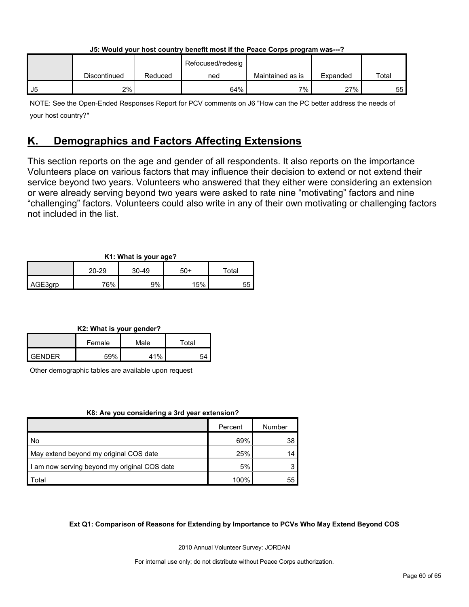|    | ---------    |         |                   |                  |          |       |
|----|--------------|---------|-------------------|------------------|----------|-------|
|    |              |         | Refocused/redesig |                  |          |       |
|    | Discontinued | Reduced | ned               | Maintained as is | Expanded | Total |
| J5 | 2%           |         | 64%               | 7%               | 27%      | 55    |

**J5: Would your host country benefit most if the Peace Corps program was---?**

NOTE: See the Open-Ended Responses Report for PCV comments on J6 "How can the PC better address the needs of your host country?"

## <span id="page-59-0"></span>**K. Demographics and Factors Affecting Extensions**

This section reports on the age and gender of all respondents. It also reports on the importance Volunteers place on various factors that may influence their decision to extend or not extend their service beyond two years. Volunteers who answered that they either were considering an extension or were already serving beyond two years were asked to rate nine "motivating" factors and nine "challenging" factors. Volunteers could also write in any of their own motivating or challenging factors not included in the list.

## **K1: What is your age?**

|         | ___<br>$\sim$ |       |     |             |  |  |  |  |
|---------|---------------|-------|-----|-------------|--|--|--|--|
|         | 20-29         | 30-49 | 50+ | $\tau$ otal |  |  |  |  |
| AGE3grp | 76%           | 9%    | 15% | 55          |  |  |  |  |

## **K2: What is your gender?**

|               | Female | Male | ™ota⊦ |  |
|---------------|--------|------|-------|--|
| <b>GENDER</b> | 59%    | 41%  | 54    |  |

Other demographic tables are available upon request

## **K8: Are you considering a 3rd year extension?**

|                                              | Percent | Number |
|----------------------------------------------|---------|--------|
| l No                                         | 69%     | 38     |
| May extend beyond my original COS date       | 25%     | 14     |
| I am now serving beyond my original COS date | 5%      |        |
| Total                                        | 100%    | 55     |

## **Ext Q1: Comparison of Reasons for Extending by Importance to PCVs Who May Extend Beyond COS**

2010 Annual Volunteer Survey: JORDAN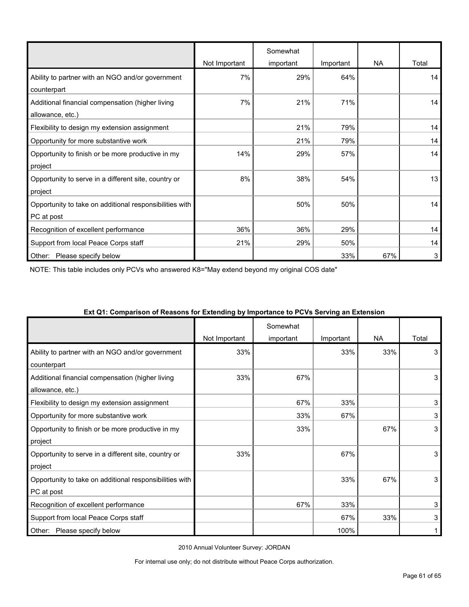|                                                         |               | Somewhat  |           |           |       |
|---------------------------------------------------------|---------------|-----------|-----------|-----------|-------|
|                                                         | Not Important | important | Important | <b>NA</b> | Total |
| Ability to partner with an NGO and/or government        | 7%            | 29%       | 64%       |           | 14    |
| counterpart                                             |               |           |           |           |       |
| Additional financial compensation (higher living        | 7%            | 21%       | 71%       |           | 14    |
| allowance, etc.)                                        |               |           |           |           |       |
| Flexibility to design my extension assignment           |               | 21%       | 79%       |           | 14    |
| Opportunity for more substantive work                   |               | 21%       | 79%       |           | 14    |
| Opportunity to finish or be more productive in my       | 14%           | 29%       | 57%       |           | 14    |
| project                                                 |               |           |           |           |       |
| Opportunity to serve in a different site, country or    | 8%            | 38%       | 54%       |           | 13    |
| project                                                 |               |           |           |           |       |
| Opportunity to take on additional responsibilities with |               | 50%       | 50%       |           | 14    |
| PC at post                                              |               |           |           |           |       |
| Recognition of excellent performance                    | 36%           | 36%       | 29%       |           | 14    |
| Support from local Peace Corps staff                    | 21%           | 29%       | 50%       |           | 14    |
| Other:<br>Please specify below                          |               |           | 33%       | 67%       | 3     |

NOTE: This table includes only PCVs who answered K8="May extend beyond my original COS date"

|                                                         | Not Important | Somewhat<br>important | Important | <b>NA</b> | Total |
|---------------------------------------------------------|---------------|-----------------------|-----------|-----------|-------|
| Ability to partner with an NGO and/or government        | 33%           |                       | 33%       | 33%       | 3     |
| counterpart                                             |               |                       |           |           |       |
| Additional financial compensation (higher living        | 33%           | 67%                   |           |           | 3     |
| allowance, etc.)                                        |               |                       |           |           |       |
| Flexibility to design my extension assignment           |               | 67%                   | 33%       |           | 3     |
| Opportunity for more substantive work                   |               | 33%                   | 67%       |           | 3     |
| Opportunity to finish or be more productive in my       |               | 33%                   |           | 67%       | 3     |
| project                                                 |               |                       |           |           |       |
| Opportunity to serve in a different site, country or    | 33%           |                       | 67%       |           | 3     |
| project                                                 |               |                       |           |           |       |
| Opportunity to take on additional responsibilities with |               |                       | 33%       | 67%       | 3     |
| PC at post                                              |               |                       |           |           |       |
| Recognition of excellent performance                    |               | 67%                   | 33%       |           | 3     |
| Support from local Peace Corps staff                    |               |                       | 67%       | 33%       | 3     |
| Please specify below<br>Other:                          |               |                       | 100%      |           |       |

#### **Ext Q1: Comparison of Reasons for Extending by Importance to PCVs Serving an Extension**

2010 Annual Volunteer Survey: JORDAN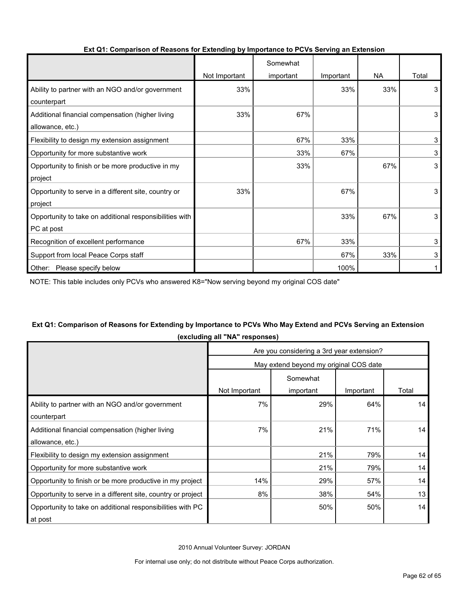|                                                         |               | Somewhat  |           |           |       |
|---------------------------------------------------------|---------------|-----------|-----------|-----------|-------|
|                                                         | Not Important | important | Important | <b>NA</b> | Total |
| Ability to partner with an NGO and/or government        | 33%           |           | 33%       | 33%       | 3     |
| counterpart                                             |               |           |           |           |       |
| Additional financial compensation (higher living        | 33%           | 67%       |           |           | 3     |
| allowance, etc.)                                        |               |           |           |           |       |
| Flexibility to design my extension assignment           |               | 67%       | 33%       |           | 3     |
| Opportunity for more substantive work                   |               | 33%       | 67%       |           | 3     |
| Opportunity to finish or be more productive in my       |               | 33%       |           | 67%       | 3     |
| project                                                 |               |           |           |           |       |
| Opportunity to serve in a different site, country or    | 33%           |           | 67%       |           | 3     |
| project                                                 |               |           |           |           |       |
| Opportunity to take on additional responsibilities with |               |           | 33%       | 67%       | 3     |
| PC at post                                              |               |           |           |           |       |
| Recognition of excellent performance                    |               | 67%       | 33%       |           | 3     |
| Support from local Peace Corps staff                    |               |           | 67%       | 33%       | 3     |
| Other: Please specify below                             |               |           | 100%      |           |       |

#### **Ext Q1: Comparison of Reasons for Extending by Importance to PCVs Serving an Extension**

NOTE: This table includes only PCVs who answered K8="Now serving beyond my original COS date"

## **Ext Q1: Comparison of Reasons for Extending by Importance to PCVs Who May Extend and PCVs Serving an Extension (excluding all "NA" responses)**

|                                                              | Are you considering a 3rd year extension? |                                        |           |       |  |  |
|--------------------------------------------------------------|-------------------------------------------|----------------------------------------|-----------|-------|--|--|
|                                                              |                                           | May extend beyond my original COS date |           |       |  |  |
|                                                              | Somewhat                                  |                                        |           |       |  |  |
|                                                              | Not Important                             | important                              | Important | Total |  |  |
| Ability to partner with an NGO and/or government             | 7%                                        | 29%                                    | 64%       | 14    |  |  |
| counterpart                                                  |                                           |                                        |           |       |  |  |
| Additional financial compensation (higher living             | 7%                                        | 21%                                    | 71%       | 14    |  |  |
| allowance, etc.)                                             |                                           |                                        |           |       |  |  |
| Flexibility to design my extension assignment                |                                           | 21%                                    | 79%       | 14    |  |  |
| Opportunity for more substantive work                        |                                           | 21%                                    | 79%       | 14    |  |  |
| Opportunity to finish or be more productive in my project    | 14%                                       | 29%                                    | 57%       | 14    |  |  |
| Opportunity to serve in a different site, country or project | 8%                                        | 38%                                    | 54%       | 13    |  |  |
| Opportunity to take on additional responsibilities with PC   |                                           | 50%                                    | 50%       | 14    |  |  |
| at post                                                      |                                           |                                        |           |       |  |  |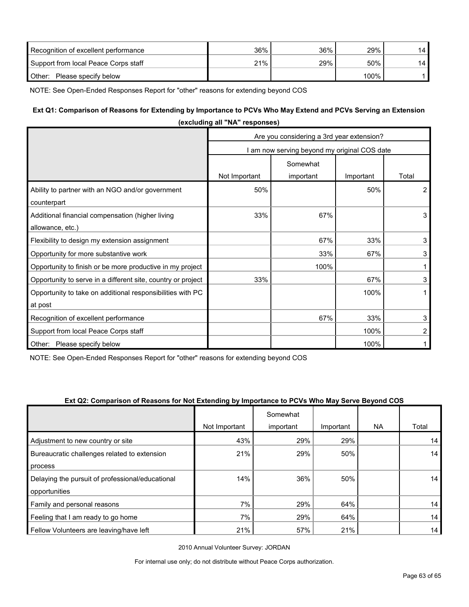| Recognition of excellent performance | 36% | 36% | 29%     | 14 |
|--------------------------------------|-----|-----|---------|----|
| Support from local Peace Corps staff | 21% | 29% | 50%     | 14 |
| Other:<br>Please specify below       |     |     | $100\%$ |    |

NOTE: See Open-Ended Responses Report for "other" reasons for extending beyond COS

## **Ext Q1: Comparison of Reasons for Extending by Importance to PCVs Who May Extend and PCVs Serving an Extension**

|                                                              | (excluding all "NA" responses)            |                                              |           |                |  |  |
|--------------------------------------------------------------|-------------------------------------------|----------------------------------------------|-----------|----------------|--|--|
|                                                              | Are you considering a 3rd year extension? |                                              |           |                |  |  |
|                                                              |                                           | I am now serving beyond my original COS date |           |                |  |  |
|                                                              |                                           | Somewhat                                     |           |                |  |  |
|                                                              | Not Important                             | important                                    | Important | Total          |  |  |
| Ability to partner with an NGO and/or government             | 50%                                       |                                              | 50%       | $\overline{2}$ |  |  |
| counterpart                                                  |                                           |                                              |           |                |  |  |
| Additional financial compensation (higher living             | 33%                                       | 67%                                          |           | 3              |  |  |
| allowance, etc.)                                             |                                           |                                              |           |                |  |  |
| Flexibility to design my extension assignment                |                                           | 67%                                          | 33%       | 3              |  |  |
| Opportunity for more substantive work                        |                                           | 33%                                          | 67%       | 3              |  |  |
| Opportunity to finish or be more productive in my project    |                                           | 100%                                         |           |                |  |  |
| Opportunity to serve in a different site, country or project | 33%                                       |                                              | 67%       | 3              |  |  |
| Opportunity to take on additional responsibilities with PC   |                                           |                                              | 100%      | 1              |  |  |
| at post                                                      |                                           |                                              |           |                |  |  |
| Recognition of excellent performance                         |                                           | 67%                                          | 33%       | 3              |  |  |
| Support from local Peace Corps staff                         |                                           |                                              | 100%      | 2              |  |  |
| Other:<br>Please specify below                               |                                           |                                              | 100%      |                |  |  |

NOTE: See Open-Ended Responses Report for "other" reasons for extending beyond COS

#### **Ext Q2: Comparison of Reasons for Not Extending by Importance to PCVs Who May Serve Beyond COS**

|                                                  |               | Somewhat  |           |           |                 |
|--------------------------------------------------|---------------|-----------|-----------|-----------|-----------------|
|                                                  | Not Important | important | Important | <b>NA</b> | Total           |
| Adjustment to new country or site                | 43%           | 29%       | 29%       |           | 14              |
| Bureaucratic challenges related to extension     | 21%           | 29%       | 50%       |           | 14              |
| process                                          |               |           |           |           |                 |
| Delaying the pursuit of professional/educational | 14%           | 36%       | 50%       |           | 14 <sub>1</sub> |
| opportunities                                    |               |           |           |           |                 |
| Family and personal reasons                      | 7%            | 29%       | 64%       |           | 14              |
| Feeling that I am ready to go home               | 7%            | 29%       | 64%       |           | 14              |
| Fellow Volunteers are leaving/have left          | 21%           | 57%       | 21%       |           | 14              |

2010 Annual Volunteer Survey: JORDAN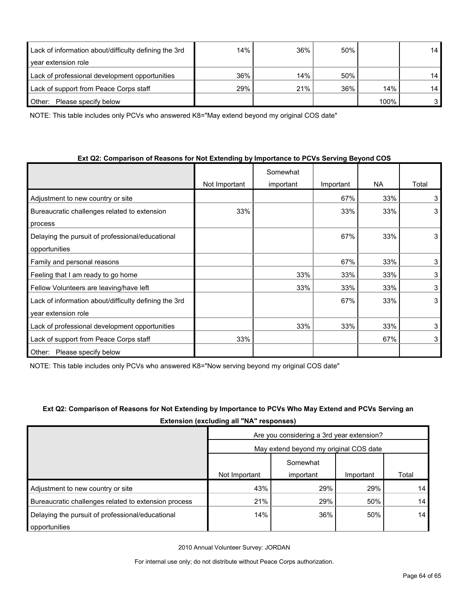| Lack of information about/difficulty defining the 3rd | 14% | 36% | 50% |      | 14 |
|-------------------------------------------------------|-----|-----|-----|------|----|
| year extension role                                   |     |     |     |      |    |
| Lack of professional development opportunities        | 36% | 14% | 50% |      | 14 |
| Lack of support from Peace Corps staff                | 29% | 21% | 36% | 14%  | 14 |
| Please specify below<br>Other:                        |     |     |     | 100% |    |

NOTE: This table includes only PCVs who answered K8="May extend beyond my original COS date"

| Ext Q2: Comparison of Reasons for Not Extending by Importance to PCVs Serving Beyond COS |  |
|------------------------------------------------------------------------------------------|--|
|------------------------------------------------------------------------------------------|--|

|                                                       |               | Somewhat  |           |           |       |
|-------------------------------------------------------|---------------|-----------|-----------|-----------|-------|
|                                                       | Not Important | important | Important | <b>NA</b> | Total |
| Adjustment to new country or site                     |               |           | 67%       | 33%       | 3     |
| Bureaucratic challenges related to extension          | 33%           |           | 33%       | 33%       | 3     |
| process                                               |               |           |           |           |       |
| Delaying the pursuit of professional/educational      |               |           | 67%       | 33%       | 3     |
| opportunities                                         |               |           |           |           |       |
| Family and personal reasons                           |               |           | 67%       | 33%       | 3     |
| Feeling that I am ready to go home                    |               | 33%       | 33%       | 33%       | 3     |
| Fellow Volunteers are leaving/have left               |               | 33%       | 33%       | 33%       | 3     |
| Lack of information about/difficulty defining the 3rd |               |           | 67%       | 33%       | 3     |
| year extension role                                   |               |           |           |           |       |
| Lack of professional development opportunities        |               | 33%       | 33%       | 33%       | 3     |
| Lack of support from Peace Corps staff                | 33%           |           |           | 67%       | 3     |
| Please specify below<br>Other:                        |               |           |           |           |       |

NOTE: This table includes only PCVs who answered K8="Now serving beyond my original COS date"

| Ext Q2: Comparison of Reasons for Not Extending by Importance to PCVs Who May Extend and PCVs Serving an |
|----------------------------------------------------------------------------------------------------------|
| <b>Extension (excluding all "NA" responses)</b>                                                          |

|                                                      | Are you considering a 3rd year extension?<br>May extend beyond my original COS date |           |           |       |
|------------------------------------------------------|-------------------------------------------------------------------------------------|-----------|-----------|-------|
|                                                      |                                                                                     |           |           |       |
|                                                      |                                                                                     | Somewhat  |           |       |
|                                                      | Not Important                                                                       | important | Important | Total |
| Adjustment to new country or site                    | 43%                                                                                 | 29%       | 29%       | 14    |
| Bureaucratic challenges related to extension process | 21%                                                                                 | 29%       | 50%       | 14    |
| Delaying the pursuit of professional/educational     | 14%                                                                                 | 36%       | 50%       | 14    |
| opportunities                                        |                                                                                     |           |           |       |

2010 Annual Volunteer Survey: JORDAN